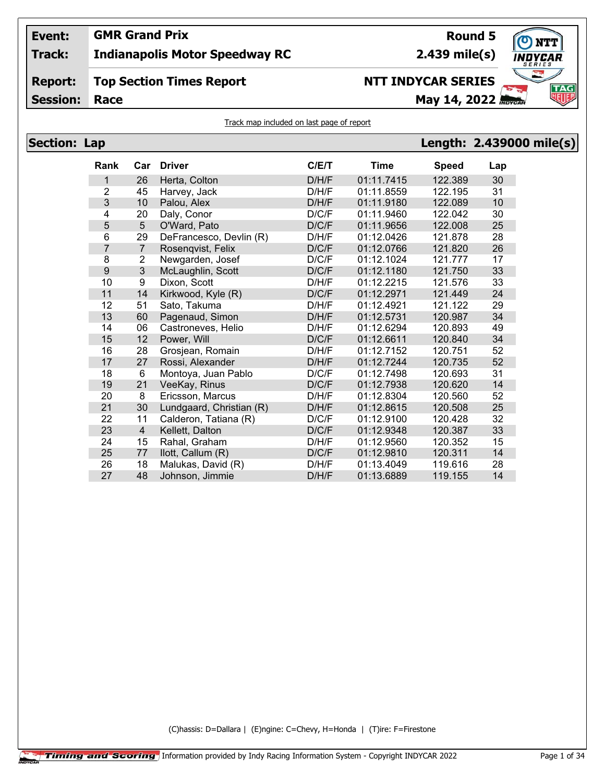# **Event:**

**Track: Indianapolis Motor Speedway RC**

## **Report: Top Section Times Report**

**GMR Grand Prix**

**Session: Race May 14, 2022 May 14, 2022** 

# **NTT INDYCAR SERIES**

**Round 5**

**TAG** 

## Track map included on last page of report

| <b>Section: Lap</b> |                  |                |                          |       |            |              | Length: 2.439000 mile(s) |  |
|---------------------|------------------|----------------|--------------------------|-------|------------|--------------|--------------------------|--|
|                     | <b>Rank</b>      | Car            | <b>Driver</b>            | C/E/T | Time       | <b>Speed</b> | Lap                      |  |
|                     | 1                | 26             | Herta, Colton            | D/H/F | 01:11.7415 | 122.389      | 30                       |  |
|                     | 2                | 45             | Harvey, Jack             | D/H/F | 01:11.8559 | 122.195      | 31                       |  |
|                     | $\mathfrak{S}$   | 10             | Palou, Alex              | D/H/F | 01:11.9180 | 122.089      | 10                       |  |
|                     | 4                | 20             | Daly, Conor              | D/C/F | 01:11.9460 | 122.042      | 30                       |  |
|                     | 5                | $5\phantom{.}$ | O'Ward, Pato             | D/C/F | 01:11.9656 | 122.008      | 25                       |  |
|                     | 6                | 29             | DeFrancesco, Devlin (R)  | D/H/F | 01:12.0426 | 121.878      | 28                       |  |
|                     | 7                | $\overline{7}$ | Rosenqvist, Felix        | D/C/F | 01:12.0766 | 121.820      | 26                       |  |
|                     | 8                | $\overline{c}$ | Newgarden, Josef         | D/C/F | 01:12.1024 | 121.777      | 17                       |  |
|                     | $\boldsymbol{9}$ | $\overline{3}$ | McLaughlin, Scott        | D/C/F | 01:12.1180 | 121.750      | 33                       |  |
|                     | 10               | 9              | Dixon, Scott             | D/H/F | 01:12.2215 | 121.576      | 33                       |  |
|                     | 11               | 14             | Kirkwood, Kyle (R)       | D/C/F | 01:12.2971 | 121.449      | 24                       |  |
|                     | 12               | 51             | Sato, Takuma             | D/H/F | 01:12.4921 | 121.122      | 29                       |  |
|                     | 13               | 60             | Pagenaud, Simon          | D/H/F | 01:12.5731 | 120.987      | 34                       |  |
|                     | 14               | 06             | Castroneves, Helio       | D/H/F | 01:12.6294 | 120.893      | 49                       |  |
|                     | 15               | 12             | Power, Will              | D/C/F | 01:12.6611 | 120.840      | 34                       |  |
|                     | 16               | 28             | Grosjean, Romain         | D/H/F | 01:12.7152 | 120.751      | 52                       |  |
|                     | 17               | 27             | Rossi, Alexander         | D/H/F | 01:12.7244 | 120.735      | 52                       |  |
|                     | 18               | 6              | Montoya, Juan Pablo      | D/C/F | 01:12.7498 | 120.693      | 31                       |  |
|                     | 19               | 21             | VeeKay, Rinus            | D/C/F | 01:12.7938 | 120.620      | 14                       |  |
|                     | 20               | $\bf 8$        | Ericsson, Marcus         | D/H/F | 01:12.8304 | 120.560      | 52                       |  |
|                     | 21               | 30             | Lundgaard, Christian (R) | D/H/F | 01:12.8615 | 120.508      | 25                       |  |
|                     | 22               | 11             | Calderon, Tatiana (R)    | D/C/F | 01:12.9100 | 120.428      | 32                       |  |
|                     | 23               | $\overline{4}$ | Kellett, Dalton          | D/C/F | 01:12.9348 | 120.387      | 33                       |  |
|                     | 24               | 15             | Rahal, Graham            | D/H/F | 01:12.9560 | 120.352      | 15                       |  |
|                     | 25               | 77             | llott, Callum (R)        | D/C/F | 01:12.9810 | 120.311      | 14                       |  |
|                     | 26               | 18             | Malukas, David (R)       | D/H/F | 01:13.4049 | 119.616      | 28                       |  |
|                     | 27               | 48             | Johnson, Jimmie          | D/H/F | 01:13.6889 | 119.155      | 14                       |  |

(C)hassis: D=Dallara | (E)ngine: C=Chevy, H=Honda | (T)ire: F=Firestone



**2.439 mile(s)**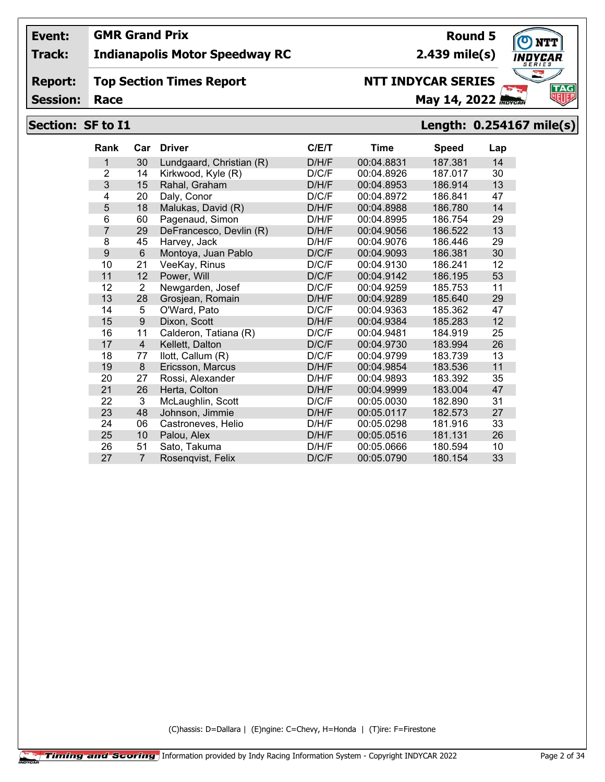## **Track: Indianapolis Motor Speedway RC**

#### **Report: Top Section Times Report**

**Session:**

# **NTT INDYCAR SERIES**

**Race May 14, 2022** *Race* 

## **Section: SF to I1 Length: 0.254167 mile(s)**

| <b>Rank</b>    | Car            | <b>Driver</b>            | C/ET  | <b>Time</b> | <b>Speed</b> | Lap |
|----------------|----------------|--------------------------|-------|-------------|--------------|-----|
| 1              | 30             | Lundgaard, Christian (R) | D/H/F | 00:04.8831  | 187.381      | 14  |
| $\overline{2}$ | 14             | Kirkwood, Kyle (R)       | D/C/F | 00:04.8926  | 187.017      | 30  |
| 3              | 15             | Rahal, Graham            | D/H/F | 00:04.8953  | 186.914      | 13  |
| 4              | 20             | Daly, Conor              | D/C/F | 00:04.8972  | 186.841      | 47  |
| 5              | 18             | Malukas, David (R)       | D/H/F | 00:04.8988  | 186.780      | 14  |
| 6              | 60             | Pagenaud, Simon          | D/H/F | 00:04.8995  | 186.754      | 29  |
| 7              | 29             | DeFrancesco, Devlin (R)  | D/H/F | 00:04.9056  | 186.522      | 13  |
| 8              | 45             | Harvey, Jack             | D/H/F | 00:04.9076  | 186.446      | 29  |
| 9              | $6\phantom{1}$ | Montoya, Juan Pablo      | D/C/F | 00:04.9093  | 186.381      | 30  |
| 10             | 21             | VeeKay, Rinus            | D/C/F | 00:04.9130  | 186.241      | 12  |
| 11             | 12             | Power, Will              | D/C/F | 00:04.9142  | 186.195      | 53  |
| 12             | $\overline{2}$ | Newgarden, Josef         | D/C/F | 00:04.9259  | 185.753      | 11  |
| 13             | 28             | Grosjean, Romain         | D/H/F | 00:04.9289  | 185.640      | 29  |
| 14             | 5              | O'Ward, Pato             | D/C/F | 00:04.9363  | 185.362      | 47  |
| 15             | 9              | Dixon, Scott             | D/H/F | 00:04.9384  | 185.283      | 12  |
| 16             | 11             | Calderon, Tatiana (R)    | D/C/F | 00:04.9481  | 184.919      | 25  |
| 17             | $\overline{4}$ | Kellett, Dalton          | D/C/F | 00:04.9730  | 183.994      | 26  |
| 18             | 77             | llott, Callum (R)        | D/C/F | 00:04.9799  | 183.739      | 13  |
| 19             | 8              | Ericsson, Marcus         | D/H/F | 00:04.9854  | 183.536      | 11  |
| 20             | 27             | Rossi, Alexander         | D/H/F | 00:04.9893  | 183.392      | 35  |
| 21             | 26             | Herta, Colton            | D/H/F | 00:04.9999  | 183.004      | 47  |
| 22             | 3              | McLaughlin, Scott        | D/C/F | 00:05.0030  | 182.890      | 31  |
| 23             | 48             | Johnson, Jimmie          | D/H/F | 00:05.0117  | 182.573      | 27  |
| 24             | 06             | Castroneves, Helio       | D/H/F | 00:05.0298  | 181.916      | 33  |
| 25             | 10             | Palou, Alex              | D/H/F | 00:05.0516  | 181.131      | 26  |
| 26             | 51             | Sato, Takuma             | D/H/F | 00:05.0666  | 180.594      | 10  |
| 27             | $\overline{7}$ | Rosenqvist, Felix        | D/C/F | 00:05.0790  | 180.154      | 33  |

(C)hassis: D=Dallara | (E)ngine: C=Chevy, H=Honda | (T)ire: F=Firestone

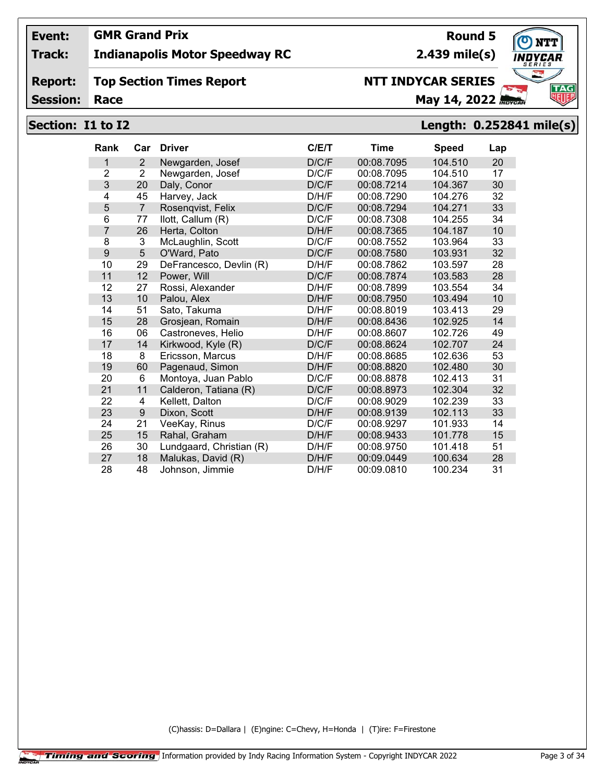## **Track: Indianapolis Motor Speedway RC**

#### **Report: Top Section Times Report**

**Session:**

# **NTT INDYCAR SERIES**

**Race May 14, 2022** *May 14, 2022* 

# **Section: I1 to I2 Length: 0.252841 mile(s)**

| <b>Rank</b>    | Car            | <b>Driver</b>            | C/E/T | <b>Time</b> | <b>Speed</b> | Lap |
|----------------|----------------|--------------------------|-------|-------------|--------------|-----|
| 1              | $\overline{2}$ | Newgarden, Josef         | D/C/F | 00:08.7095  | 104.510      | 20  |
| $\overline{2}$ | $\overline{2}$ | Newgarden, Josef         | D/C/F | 00:08.7095  | 104.510      | 17  |
| 3              | 20             | Daly, Conor              | D/C/F | 00:08.7214  | 104.367      | 30  |
| 4              | 45             | Harvey, Jack             | D/H/F | 00:08.7290  | 104.276      | 32  |
| 5              | $\overline{7}$ | Rosenqvist, Felix        | D/C/F | 00:08.7294  | 104.271      | 33  |
| 6              | 77             | llott, Callum (R)        | D/C/F | 00:08.7308  | 104.255      | 34  |
| 7              | 26             | Herta, Colton            | D/H/F | 00:08.7365  | 104.187      | 10  |
| 8              | 3              | McLaughlin, Scott        | D/C/F | 00:08.7552  | 103.964      | 33  |
| 9              | 5              | O'Ward, Pato             | D/C/F | 00:08.7580  | 103.931      | 32  |
| 10             | 29             | DeFrancesco, Devlin (R)  | D/H/F | 00:08.7862  | 103.597      | 28  |
| 11             | 12             | Power, Will              | D/C/F | 00:08.7874  | 103.583      | 28  |
| 12             | 27             | Rossi, Alexander         | D/H/F | 00:08.7899  | 103.554      | 34  |
| 13             | 10             | Palou, Alex              | D/H/F | 00:08.7950  | 103.494      | 10  |
| 14             | 51             | Sato, Takuma             | D/H/F | 00:08.8019  | 103.413      | 29  |
| 15             | 28             | Grosjean, Romain         | D/H/F | 00:08.8436  | 102.925      | 14  |
| 16             | 06             | Castroneves, Helio       | D/H/F | 00:08.8607  | 102.726      | 49  |
| 17             | 14             | Kirkwood, Kyle (R)       | D/C/F | 00:08.8624  | 102.707      | 24  |
| 18             | 8              | Ericsson, Marcus         | D/H/F | 00:08.8685  | 102.636      | 53  |
| 19             | 60             | Pagenaud, Simon          | D/H/F | 00:08.8820  | 102.480      | 30  |
| 20             | $6\phantom{1}$ | Montoya, Juan Pablo      | D/C/F | 00:08.8878  | 102.413      | 31  |
| 21             | 11             | Calderon, Tatiana (R)    | D/C/F | 00:08.8973  | 102.304      | 32  |
| 22             | 4              | Kellett, Dalton          | D/C/F | 00:08.9029  | 102.239      | 33  |
| 23             | $9\,$          | Dixon, Scott             | D/H/F | 00:08.9139  | 102.113      | 33  |
| 24             | 21             | VeeKay, Rinus            | D/C/F | 00:08.9297  | 101.933      | 14  |
| 25             | 15             | Rahal, Graham            | D/H/F | 00:08.9433  | 101.778      | 15  |
| 26             | 30             | Lundgaard, Christian (R) | D/H/F | 00:08.9750  | 101.418      | 51  |
| 27             | 18             | Malukas, David (R)       | D/H/F | 00:09.0449  | 100.634      | 28  |
| 28             | 48             | Johnson, Jimmie          | D/H/F | 00:09.0810  | 100.234      | 31  |

(C)hassis: D=Dallara | (E)ngine: C=Chevy, H=Honda | (T)ire: F=Firestone

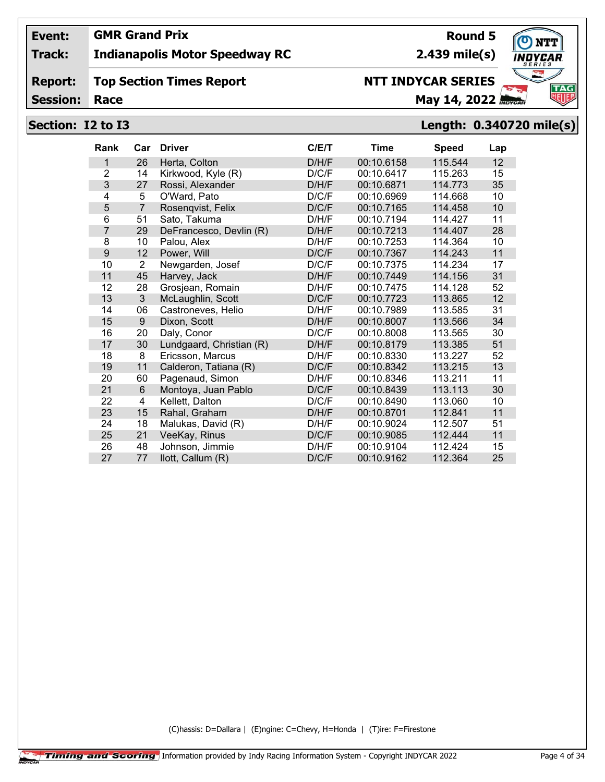## **Track: Indianapolis Motor Speedway RC**

#### **Report: Top Section Times Report**

**Session:**

# **NTT INDYCAR SERIES**

**Race May 14, 2022** *May 14, 2022* 

## **Section: I2 to I3 Length: 0.340720 mile(s)**

| Rank           | Car            | <b>Driver</b>            | C/E/T | <b>Time</b> | <b>Speed</b> | Lap |
|----------------|----------------|--------------------------|-------|-------------|--------------|-----|
| 1              | 26             | Herta, Colton            | D/H/F | 00:10.6158  | 115.544      | 12  |
| $\overline{2}$ | 14             | Kirkwood, Kyle (R)       | D/C/F | 00:10.6417  | 115.263      | 15  |
| 3              | 27             | Rossi, Alexander         | D/H/F | 00:10.6871  | 114.773      | 35  |
| 4              | 5              | O'Ward, Pato             | D/C/F | 00:10.6969  | 114.668      | 10  |
| 5              | $\overline{7}$ | Rosenqvist, Felix        | D/C/F | 00:10.7165  | 114.458      | 10  |
| 6              | 51             | Sato, Takuma             | D/H/F | 00:10.7194  | 114.427      | 11  |
| 7              | 29             | DeFrancesco, Devlin (R)  | D/H/F | 00:10.7213  | 114.407      | 28  |
| 8              | 10             | Palou, Alex              | D/H/F | 00:10.7253  | 114.364      | 10  |
| 9              | 12             | Power, Will              | D/C/F | 00:10.7367  | 114.243      | 11  |
| 10             | $\overline{2}$ | Newgarden, Josef         | D/C/F | 00:10.7375  | 114.234      | 17  |
| 11             | 45             | Harvey, Jack             | D/H/F | 00:10.7449  | 114.156      | 31  |
| 12             | 28             | Grosjean, Romain         | D/H/F | 00:10.7475  | 114.128      | 52  |
| 13             | 3              | McLaughlin, Scott        | D/C/F | 00:10.7723  | 113.865      | 12  |
| 14             | 06             | Castroneves, Helio       | D/H/F | 00:10.7989  | 113.585      | 31  |
| 15             | 9              | Dixon, Scott             | D/H/F | 00:10.8007  | 113.566      | 34  |
| 16             | 20             | Daly, Conor              | D/C/F | 00:10.8008  | 113.565      | 30  |
| 17             | 30             | Lundgaard, Christian (R) | D/H/F | 00:10.8179  | 113.385      | 51  |
| 18             | 8              | Ericsson, Marcus         | D/H/F | 00:10.8330  | 113.227      | 52  |
| 19             | 11             | Calderon, Tatiana (R)    | D/C/F | 00:10.8342  | 113.215      | 13  |
| 20             | 60             | Pagenaud, Simon          | D/H/F | 00:10.8346  | 113.211      | 11  |
| 21             | $6\phantom{1}$ | Montoya, Juan Pablo      | D/C/F | 00:10.8439  | 113.113      | 30  |
| 22             | 4              | Kellett, Dalton          | D/C/F | 00:10.8490  | 113.060      | 10  |
| 23             | 15             | Rahal, Graham            | D/H/F | 00:10.8701  | 112.841      | 11  |
| 24             | 18             | Malukas, David (R)       | D/H/F | 00:10.9024  | 112.507      | 51  |
| 25             | 21             | VeeKay, Rinus            | D/C/F | 00:10.9085  | 112.444      | 11  |
| 26             | 48             | Johnson, Jimmie          | D/H/F | 00:10.9104  | 112.424      | 15  |
| 27             | 77             | llott, Callum (R)        | D/C/F | 00:10.9162  | 112.364      | 25  |

(C)hassis: D=Dallara | (E)ngine: C=Chevy, H=Honda | (T)ire: F=Firestone

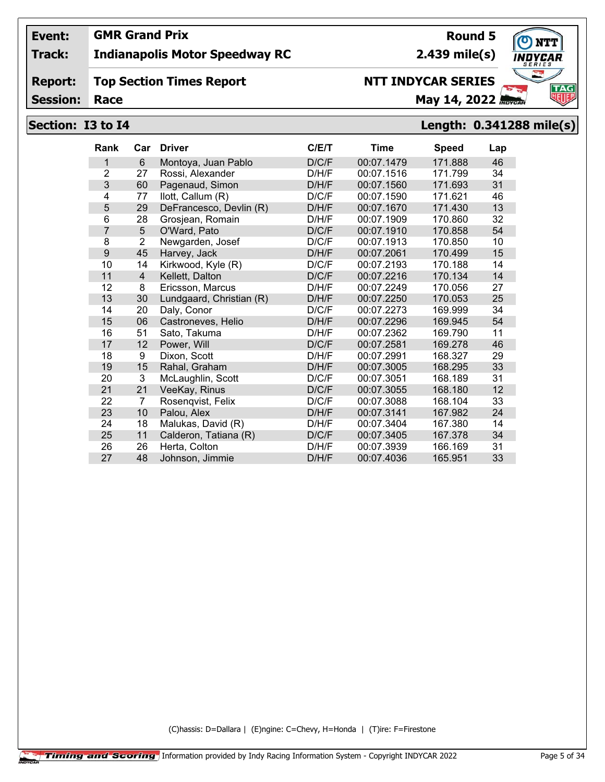## **Track: Indianapolis Motor Speedway RC**

#### **Report: Top Section Times Report**

**Session:**

# **NTT INDYCAR SERIES**

**Race May 14, 2022** *Race* **May 14, 2022** *REVEAL* 

# **Section: I3 to I4 Length: 0.341288 mile(s)**

| <b>Rank</b> | Car            | <b>Driver</b>            | C/E/T | Time       | <b>Speed</b> | Lap |
|-------------|----------------|--------------------------|-------|------------|--------------|-----|
| 1           | 6              | Montoya, Juan Pablo      | D/C/F | 00:07.1479 | 171.888      | 46  |
| 2           | 27             | Rossi, Alexander         | D/H/F | 00:07.1516 | 171.799      | 34  |
| 3           | 60             | Pagenaud, Simon          | D/H/F | 00:07.1560 | 171.693      | 31  |
| 4           | 77             | llott, Callum (R)        | D/C/F | 00:07.1590 | 171.621      | 46  |
| 5           | 29             | DeFrancesco, Devlin (R)  | D/H/F | 00:07.1670 | 171.430      | 13  |
| 6           | 28             | Grosjean, Romain         | D/H/F | 00:07.1909 | 170.860      | 32  |
| 7           | 5              | O'Ward, Pato             | D/C/F | 00:07.1910 | 170.858      | 54  |
| 8           | $\overline{2}$ | Newgarden, Josef         | D/C/F | 00:07.1913 | 170.850      | 10  |
| 9           | 45             | Harvey, Jack             | D/H/F | 00:07.2061 | 170.499      | 15  |
| 10          | 14             | Kirkwood, Kyle (R)       | D/C/F | 00:07.2193 | 170.188      | 14  |
| 11          | $\overline{4}$ | Kellett, Dalton          | D/C/F | 00:07.2216 | 170.134      | 14  |
| 12          | 8              | Ericsson, Marcus         | D/H/F | 00:07.2249 | 170.056      | 27  |
| 13          | 30             | Lundgaard, Christian (R) | D/H/F | 00:07.2250 | 170.053      | 25  |
| 14          | 20             | Daly, Conor              | D/C/F | 00:07.2273 | 169.999      | 34  |
| 15          | 06             | Castroneves, Helio       | D/H/F | 00:07.2296 | 169.945      | 54  |
| 16          | 51             | Sato, Takuma             | D/H/F | 00:07.2362 | 169.790      | 11  |
| 17          | 12             | Power, Will              | D/C/F | 00:07.2581 | 169.278      | 46  |
| 18          | 9              | Dixon, Scott             | D/H/F | 00:07.2991 | 168.327      | 29  |
| 19          | 15             | Rahal, Graham            | D/H/F | 00:07.3005 | 168.295      | 33  |
| 20          | 3              | McLaughlin, Scott        | D/C/F | 00:07.3051 | 168.189      | 31  |
| 21          | 21             | VeeKay, Rinus            | D/C/F | 00:07.3055 | 168.180      | 12  |
| 22          | 7              | Rosenqvist, Felix        | D/C/F | 00:07.3088 | 168.104      | 33  |
| 23          | 10             | Palou, Alex              | D/H/F | 00:07.3141 | 167.982      | 24  |
| 24          | 18             | Malukas, David (R)       | D/H/F | 00:07.3404 | 167.380      | 14  |
| 25          | 11             | Calderon, Tatiana (R)    | D/C/F | 00:07.3405 | 167.378      | 34  |
| 26          | 26             | Herta, Colton            | D/H/F | 00:07.3939 | 166.169      | 31  |
| 27          | 48             | Johnson, Jimmie          | D/H/F | 00:07.4036 | 165.951      | 33  |

(C)hassis: D=Dallara | (E)ngine: C=Chevy, H=Honda | (T)ire: F=Firestone

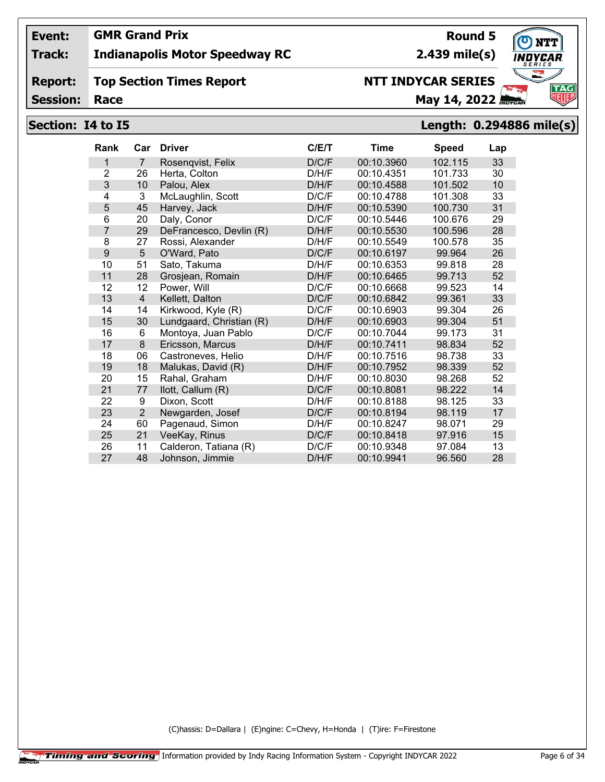## **GMR Grand Prix**

## **Track: Indianapolis Motor Speedway RC**

#### **Report: Top Section Times Report**

**Session:**

# **NTT INDYCAR SERIES**

**Race May 14, 2022** *May 14, 2022* 

**2.439 mile(s)**

## **Section: I4 to I5 Length: 0.294886 mile(s)**

| <b>Rank</b>    | Car            | <b>Driver</b>            | C/ET  | Time       | <b>Speed</b> | Lap |
|----------------|----------------|--------------------------|-------|------------|--------------|-----|
| 1              | $\overline{7}$ | Rosenqvist, Felix        | D/C/F | 00:10.3960 | 102.115      | 33  |
| $\overline{2}$ | 26             | Herta, Colton            | D/H/F | 00:10.4351 | 101.733      | 30  |
| 3              | 10             | Palou, Alex              | D/H/F | 00:10.4588 | 101.502      | 10  |
| 4              | 3              | McLaughlin, Scott        | D/C/F | 00:10.4788 | 101.308      | 33  |
| 5              | 45             | Harvey, Jack             | D/H/F | 00:10.5390 | 100.730      | 31  |
| 6              | 20             | Daly, Conor              | D/C/F | 00:10.5446 | 100.676      | 29  |
| 7              | 29             | DeFrancesco, Devlin (R)  | D/H/F | 00:10.5530 | 100.596      | 28  |
| 8              | 27             | Rossi, Alexander         | D/H/F | 00:10.5549 | 100.578      | 35  |
| 9              | 5              | O'Ward, Pato             | D/C/F | 00:10.6197 | 99.964       | 26  |
| 10             | 51             | Sato, Takuma             | D/H/F | 00:10.6353 | 99.818       | 28  |
| 11             | 28             | Grosjean, Romain         | D/H/F | 00:10.6465 | 99.713       | 52  |
| 12             | 12             | Power, Will              | D/C/F | 00:10.6668 | 99.523       | 14  |
| 13             | $\overline{4}$ | Kellett, Dalton          | D/C/F | 00:10.6842 | 99.361       | 33  |
| 14             | 14             | Kirkwood, Kyle (R)       | D/C/F | 00:10.6903 | 99.304       | 26  |
| 15             | 30             | Lundgaard, Christian (R) | D/H/F | 00:10.6903 | 99.304       | 51  |
| 16             | 6              | Montoya, Juan Pablo      | D/C/F | 00:10.7044 | 99.173       | 31  |
| 17             | 8              | Ericsson, Marcus         | D/H/F | 00:10.7411 | 98.834       | 52  |
| 18             | 06             | Castroneves, Helio       | D/H/F | 00:10.7516 | 98.738       | 33  |
| 19             | 18             | Malukas, David (R)       | D/H/F | 00:10.7952 | 98.339       | 52  |
| 20             | 15             | Rahal, Graham            | D/H/F | 00:10.8030 | 98.268       | 52  |
| 21             | 77             | llott, Callum (R)        | D/C/F | 00:10.8081 | 98.222       | 14  |
| 22             | 9              | Dixon, Scott             | D/H/F | 00:10.8188 | 98.125       | 33  |
| 23             | $\overline{2}$ | Newgarden, Josef         | D/C/F | 00:10.8194 | 98.119       | 17  |
| 24             | 60             | Pagenaud, Simon          | D/H/F | 00:10.8247 | 98.071       | 29  |
| 25             | 21             | VeeKay, Rinus            | D/C/F | 00:10.8418 | 97.916       | 15  |
| 26             | 11             | Calderon, Tatiana (R)    | D/C/F | 00:10.9348 | 97.084       | 13  |
| 27             | 48             | Johnson, Jimmie          | D/H/F | 00:10.9941 | 96.560       | 28  |

(C)hassis: D=Dallara | (E)ngine: C=Chevy, H=Honda | (T)ire: F=Firestone



**Round 5**

**Event:**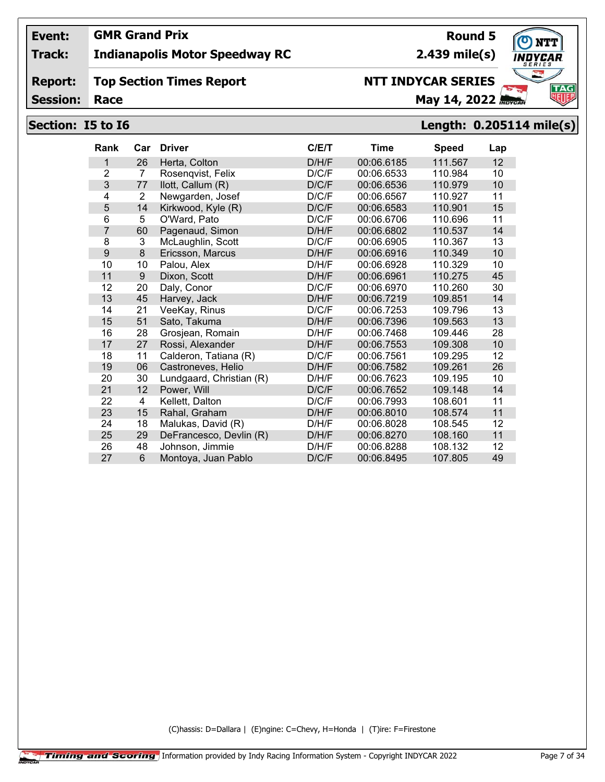## **Track: Indianapolis Motor Speedway RC**

#### **Report: Top Section Times Report**

**Session:**

# **NTT INDYCAR SERIES**

**Race May 14, 2022** *Race* 

**2.439 mile(s)**

## **Section: I5 to I6 Length: 0.205114 mile(s)**

| <b>Rank</b>    | Car            | <b>Driver</b>            | C/ET  | Time       | <b>Speed</b> | Lap |
|----------------|----------------|--------------------------|-------|------------|--------------|-----|
| 1              | 26             | Herta, Colton            | D/H/F | 00:06.6185 | 111.567      | 12  |
| $\overline{2}$ | 7              | Rosenqvist, Felix        | D/C/F | 00:06.6533 | 110.984      | 10  |
| 3              | 77             | llott, Callum (R)        | D/C/F | 00:06.6536 | 110.979      | 10  |
| 4              | $\overline{2}$ | Newgarden, Josef         | D/C/F | 00:06.6567 | 110.927      | 11  |
| 5              | 14             | Kirkwood, Kyle (R)       | D/C/F | 00:06.6583 | 110.901      | 15  |
| 6              | 5              | O'Ward, Pato             | D/C/F | 00:06.6706 | 110.696      | 11  |
| $\overline{7}$ | 60             | Pagenaud, Simon          | D/H/F | 00:06.6802 | 110.537      | 14  |
| 8              | 3              | McLaughlin, Scott        | D/C/F | 00:06.6905 | 110.367      | 13  |
| 9              | 8              | Ericsson, Marcus         | D/H/F | 00:06.6916 | 110.349      | 10  |
| 10             | 10             | Palou, Alex              | D/H/F | 00:06.6928 | 110.329      | 10  |
| 11             | 9              | Dixon, Scott             | D/H/F | 00:06.6961 | 110.275      | 45  |
| 12             | 20             | Daly, Conor              | D/C/F | 00:06.6970 | 110.260      | 30  |
| 13             | 45             | Harvey, Jack             | D/H/F | 00:06.7219 | 109.851      | 14  |
| 14             | 21             | VeeKay, Rinus            | D/C/F | 00:06.7253 | 109.796      | 13  |
| 15             | 51             | Sato, Takuma             | D/H/F | 00:06.7396 | 109.563      | 13  |
| 16             | 28             | Grosjean, Romain         | D/H/F | 00:06.7468 | 109.446      | 28  |
| 17             | 27             | Rossi, Alexander         | D/H/F | 00:06.7553 | 109.308      | 10  |
| 18             | 11             | Calderon, Tatiana (R)    | D/C/F | 00:06.7561 | 109.295      | 12  |
| 19             | 06             | Castroneves, Helio       | D/H/F | 00:06.7582 | 109.261      | 26  |
| 20             | 30             | Lundgaard, Christian (R) | D/H/F | 00:06.7623 | 109.195      | 10  |
| 21             | 12             | Power, Will              | D/C/F | 00:06.7652 | 109.148      | 14  |
| 22             | 4              | Kellett, Dalton          | D/C/F | 00:06.7993 | 108.601      | 11  |
| 23             | 15             | Rahal, Graham            | D/H/F | 00:06.8010 | 108.574      | 11  |
| 24             | 18             | Malukas, David (R)       | D/H/F | 00:06.8028 | 108.545      | 12  |
| 25             | 29             | DeFrancesco, Devlin (R)  | D/H/F | 00:06.8270 | 108.160      | 11  |
| 26             | 48             | Johnson, Jimmie          | D/H/F | 00:06.8288 | 108.132      | 12  |
| 27             | 6              | Montoya, Juan Pablo      | D/C/F | 00:06.8495 | 107.805      | 49  |

(C)hassis: D=Dallara | (E)ngine: C=Chevy, H=Honda | (T)ire: F=Firestone



**Round 5**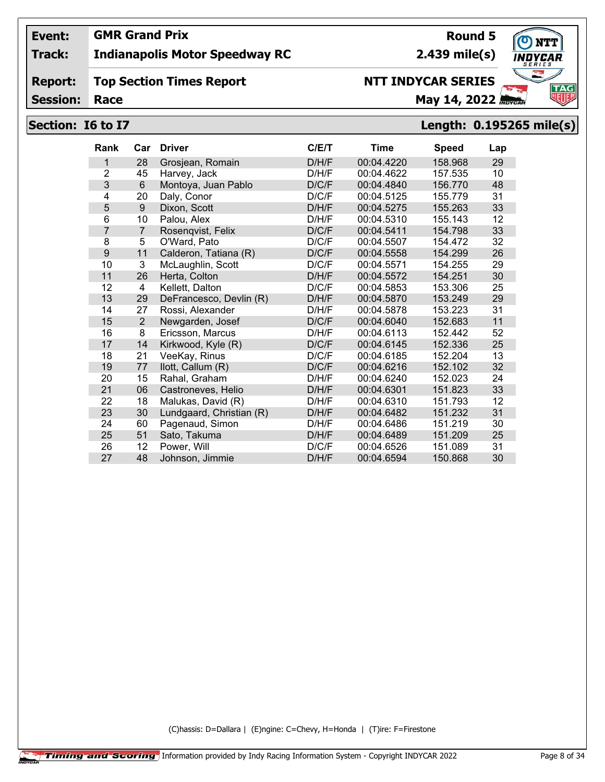## **Track: Indianapolis Motor Speedway RC**

#### **Report: Top Section Times Report**

**Session:**

# **NTT INDYCAR SERIES**

**Race May 14, 2022** *May 14, 2022* 

## **Section: I6 to I7 Length: 0.195265 mile(s)**

| <b>Rank</b>    | Car            | <b>Driver</b>            | C/ET  | Time       | <b>Speed</b> | Lap |
|----------------|----------------|--------------------------|-------|------------|--------------|-----|
| 1              | 28             | Grosjean, Romain         | D/H/F | 00:04.4220 | 158.968      | 29  |
| $\overline{2}$ | 45             | Harvey, Jack             | D/H/F | 00:04.4622 | 157.535      | 10  |
| 3              | 6              | Montoya, Juan Pablo      | D/C/F | 00:04.4840 | 156.770      | 48  |
| 4              | 20             | Daly, Conor              | D/C/F | 00:04.5125 | 155.779      | 31  |
| 5              | 9              | Dixon, Scott             | D/H/F | 00:04.5275 | 155.263      | 33  |
| 6              | 10             | Palou, Alex              | D/H/F | 00:04.5310 | 155.143      | 12  |
| 7              | $\overline{7}$ | Rosenqvist, Felix        | D/C/F | 00:04.5411 | 154.798      | 33  |
| 8              | 5              | O'Ward, Pato             | D/C/F | 00:04.5507 | 154.472      | 32  |
| 9              | 11             | Calderon, Tatiana (R)    | D/C/F | 00:04.5558 | 154.299      | 26  |
| 10             | 3              | McLaughlin, Scott        | D/C/F | 00:04.5571 | 154.255      | 29  |
| 11             | 26             | Herta, Colton            | D/H/F | 00:04.5572 | 154.251      | 30  |
| 12             | 4              | Kellett, Dalton          | D/C/F | 00:04.5853 | 153.306      | 25  |
| 13             | 29             | DeFrancesco, Devlin (R)  | D/H/F | 00:04.5870 | 153.249      | 29  |
| 14             | 27             | Rossi, Alexander         | D/H/F | 00:04.5878 | 153.223      | 31  |
| 15             | $\overline{2}$ | Newgarden, Josef         | D/C/F | 00:04.6040 | 152.683      | 11  |
| 16             | 8              | Ericsson, Marcus         | D/H/F | 00:04.6113 | 152.442      | 52  |
| 17             | 14             | Kirkwood, Kyle (R)       | D/C/F | 00:04.6145 | 152.336      | 25  |
| 18             | 21             | VeeKay, Rinus            | D/C/F | 00:04.6185 | 152.204      | 13  |
| 19             | 77             | llott, Callum (R)        | D/C/F | 00:04.6216 | 152.102      | 32  |
| 20             | 15             | Rahal, Graham            | D/H/F | 00:04.6240 | 152.023      | 24  |
| 21             | 06             | Castroneves, Helio       | D/H/F | 00:04.6301 | 151.823      | 33  |
| 22             | 18             | Malukas, David (R)       | D/H/F | 00:04.6310 | 151.793      | 12  |
| 23             | 30             | Lundgaard, Christian (R) | D/H/F | 00:04.6482 | 151.232      | 31  |
| 24             | 60             | Pagenaud, Simon          | D/H/F | 00:04.6486 | 151.219      | 30  |
| 25             | 51             | Sato, Takuma             | D/H/F | 00:04.6489 | 151.209      | 25  |
| 26             | 12             | Power, Will              | D/C/F | 00:04.6526 | 151.089      | 31  |
| 27             | 48             | Johnson, Jimmie          | D/H/F | 00:04.6594 | 150.868      | 30  |

(C)hassis: D=Dallara | (E)ngine: C=Chevy, H=Honda | (T)ire: F=Firestone

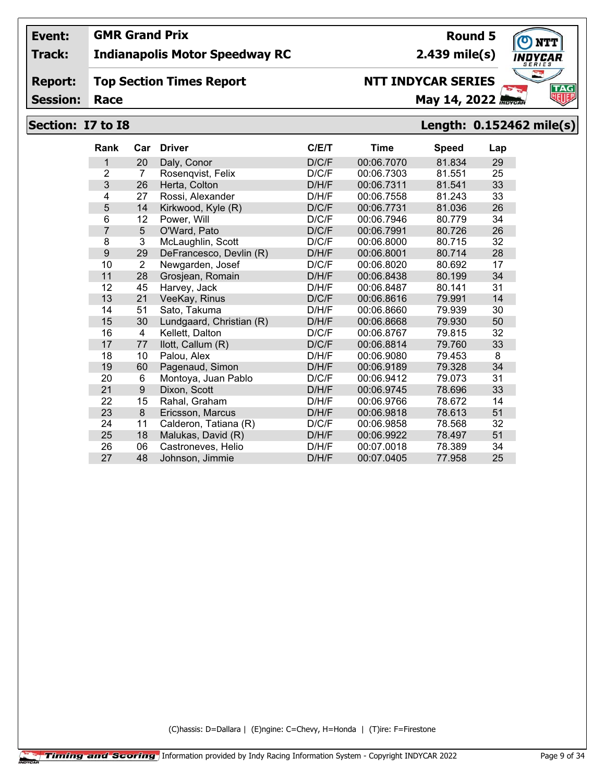## **Track: Indianapolis Motor Speedway RC**

#### **Report: Top Section Times Report**

**Session:**

# **NTT INDYCAR SERIES**

**Race May 14, 2022** *May 14, 2022* 

## **Section: I7 to I8 Length: 0.152462 mile(s)**

| <b>Rank</b>    | Car            | <b>Driver</b>            | C/ET  | Time       | <b>Speed</b> | Lap |
|----------------|----------------|--------------------------|-------|------------|--------------|-----|
| 1              | 20             | Daly, Conor              | D/C/F | 00:06.7070 | 81.834       | 29  |
| $\overline{2}$ | 7              | Rosenqvist, Felix        | D/C/F | 00:06.7303 | 81.551       | 25  |
| 3              | 26             | Herta, Colton            | D/H/F | 00:06.7311 | 81.541       | 33  |
| 4              | 27             | Rossi, Alexander         | D/H/F | 00:06.7558 | 81.243       | 33  |
| 5              | 14             | Kirkwood, Kyle (R)       | D/C/F | 00:06.7731 | 81.036       | 26  |
| 6              | 12             | Power, Will              | D/C/F | 00:06.7946 | 80.779       | 34  |
| 7              | 5              | O'Ward, Pato             | D/C/F | 00:06.7991 | 80.726       | 26  |
| 8              | 3              | McLaughlin, Scott        | D/C/F | 00:06.8000 | 80.715       | 32  |
| 9              | 29             | DeFrancesco, Devlin (R)  | D/H/F | 00:06.8001 | 80.714       | 28  |
| 10             | $\overline{2}$ | Newgarden, Josef         | D/C/F | 00:06.8020 | 80.692       | 17  |
| 11             | 28             | Grosjean, Romain         | D/H/F | 00:06.8438 | 80.199       | 34  |
| 12             | 45             | Harvey, Jack             | D/H/F | 00:06.8487 | 80.141       | 31  |
| 13             | 21             | VeeKay, Rinus            | D/C/F | 00:06.8616 | 79.991       | 14  |
| 14             | 51             | Sato, Takuma             | D/H/F | 00:06.8660 | 79.939       | 30  |
| 15             | 30             | Lundgaard, Christian (R) | D/H/F | 00:06.8668 | 79.930       | 50  |
| 16             | 4              | Kellett, Dalton          | D/C/F | 00:06.8767 | 79.815       | 32  |
| 17             | 77             | llott, Callum (R)        | D/C/F | 00:06.8814 | 79.760       | 33  |
| 18             | 10             | Palou, Alex              | D/H/F | 00:06.9080 | 79.453       | 8   |
| 19             | 60             | Pagenaud, Simon          | D/H/F | 00:06.9189 | 79.328       | 34  |
| 20             | 6              | Montoya, Juan Pablo      | D/C/F | 00:06.9412 | 79.073       | 31  |
| 21             | 9              | Dixon, Scott             | D/H/F | 00:06.9745 | 78.696       | 33  |
| 22             | 15             | Rahal, Graham            | D/H/F | 00:06.9766 | 78.672       | 14  |
| 23             | 8              | Ericsson, Marcus         | D/H/F | 00:06.9818 | 78.613       | 51  |
| 24             | 11             | Calderon, Tatiana (R)    | D/C/F | 00:06.9858 | 78.568       | 32  |
| 25             | 18             | Malukas, David (R)       | D/H/F | 00:06.9922 | 78.497       | 51  |
| 26             | 06             | Castroneves, Helio       | D/H/F | 00:07.0018 | 78.389       | 34  |
| 27             | 48             | Johnson, Jimmie          | D/H/F | 00:07.0405 | 77.958       | 25  |

(C)hassis: D=Dallara | (E)ngine: C=Chevy, H=Honda | (T)ire: F=Firestone

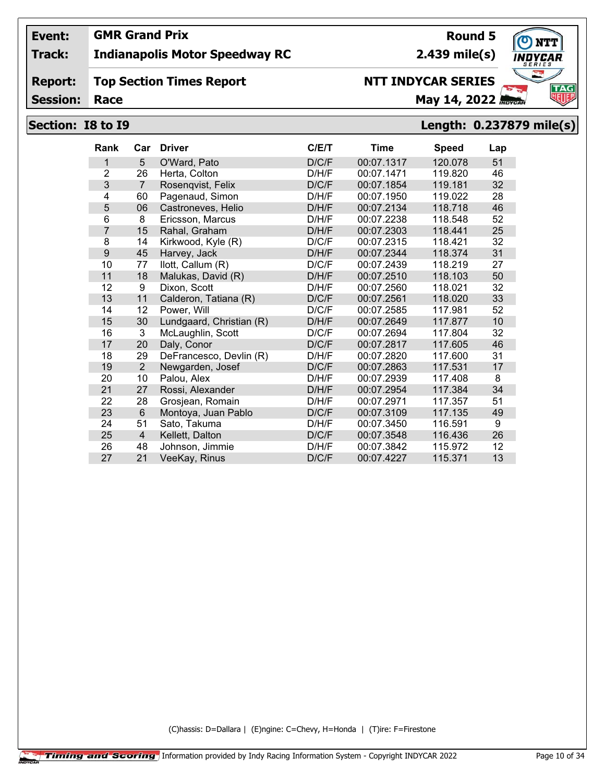## **Track: Indianapolis Motor Speedway RC**

#### **Report: Top Section Times Report**

**Session:**

# **NTT INDYCAR SERIES**

**Race May 14, 2022** *May 14, 2022* 

# **Section: I8 to I9 Length: 0.237879 mile(s)**

| <b>Rank</b>    | Car            | <b>Driver</b>            | C/E/T | <b>Time</b> | <b>Speed</b> | Lap |
|----------------|----------------|--------------------------|-------|-------------|--------------|-----|
| 1              | 5              | O'Ward, Pato             | D/C/F | 00:07.1317  | 120.078      | 51  |
| $\overline{2}$ | 26             | Herta, Colton            | D/H/F | 00:07.1471  | 119.820      | 46  |
| 3              | $\overline{7}$ | Rosenqvist, Felix        | D/C/F | 00:07.1854  | 119.181      | 32  |
| 4              | 60             | Pagenaud, Simon          | D/H/F | 00:07.1950  | 119.022      | 28  |
| 5              | 06             | Castroneves, Helio       | D/H/F | 00:07.2134  | 118.718      | 46  |
| 6              | 8              | Ericsson, Marcus         | D/H/F | 00:07.2238  | 118.548      | 52  |
| $\overline{7}$ | 15             | Rahal, Graham            | D/H/F | 00:07.2303  | 118.441      | 25  |
| 8              | 14             | Kirkwood, Kyle (R)       | D/C/F | 00:07.2315  | 118.421      | 32  |
| 9              | 45             | Harvey, Jack             | D/H/F | 00:07.2344  | 118.374      | 31  |
| 10             | 77             | llott, Callum (R)        | D/C/F | 00:07.2439  | 118.219      | 27  |
| 11             | 18             | Malukas, David (R)       | D/H/F | 00:07.2510  | 118.103      | 50  |
| 12             | 9              | Dixon, Scott             | D/H/F | 00:07.2560  | 118.021      | 32  |
| 13             | 11             | Calderon, Tatiana (R)    | D/C/F | 00:07.2561  | 118.020      | 33  |
| 14             | 12             | Power, Will              | D/C/F | 00:07.2585  | 117.981      | 52  |
| 15             | 30             | Lundgaard, Christian (R) | D/H/F | 00:07.2649  | 117.877      | 10  |
| 16             | 3              | McLaughlin, Scott        | D/C/F | 00:07.2694  | 117.804      | 32  |
| 17             | 20             | Daly, Conor              | D/C/F | 00:07.2817  | 117.605      | 46  |
| 18             | 29             | DeFrancesco, Devlin (R)  | D/H/F | 00:07.2820  | 117.600      | 31  |
| 19             | 2              | Newgarden, Josef         | D/C/F | 00:07.2863  | 117.531      | 17  |
| 20             | 10             | Palou, Alex              | D/H/F | 00:07.2939  | 117.408      | 8   |
| 21             | 27             | Rossi, Alexander         | D/H/F | 00:07.2954  | 117.384      | 34  |
| 22             | 28             | Grosjean, Romain         | D/H/F | 00:07.2971  | 117.357      | 51  |
| 23             | 6              | Montoya, Juan Pablo      | D/C/F | 00:07.3109  | 117.135      | 49  |
| 24             | 51             | Sato, Takuma             | D/H/F | 00:07.3450  | 116.591      | 9   |
| 25             | $\overline{4}$ | Kellett, Dalton          | D/C/F | 00:07.3548  | 116.436      | 26  |
| 26             | 48             | Johnson, Jimmie          | D/H/F | 00:07.3842  | 115.972      | 12  |
| 27             | 21             | VeeKay, Rinus            | D/C/F | 00:07.4227  | 115.371      | 13  |
|                |                |                          |       |             |              |     |

(C)hassis: D=Dallara | (E)ngine: C=Chevy, H=Honda | (T)ire: F=Firestone

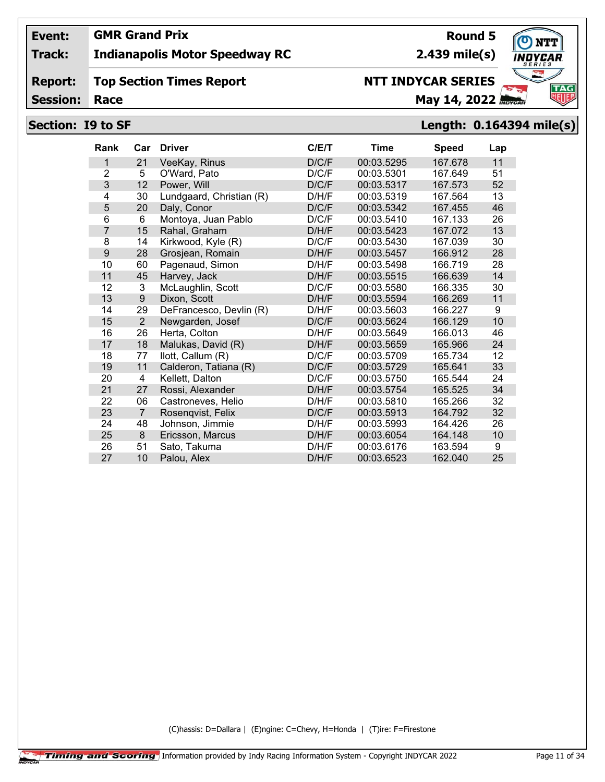## **Track: Indianapolis Motor Speedway RC**

#### **Report: Top Section Times Report**

**Session:**

# **Race May 14, 2022** *May 14, 2022*

**NTT INDYCAR SERIES**

## **Section: I9 to SF Length: 0.164394 mile(s)**

| Rank           | Car            | <b>Driver</b>            | C/ET  | Time       | <b>Speed</b> | Lap |
|----------------|----------------|--------------------------|-------|------------|--------------|-----|
| 1              | 21             | VeeKay, Rinus            | D/C/F | 00:03.5295 | 167.678      | 11  |
| $\overline{2}$ | 5              | O'Ward, Pato             | D/C/F | 00:03.5301 | 167.649      | 51  |
| 3              | 12             | Power, Will              | D/C/F | 00:03.5317 | 167.573      | 52  |
| 4              | 30             | Lundgaard, Christian (R) | D/H/F | 00:03.5319 | 167.564      | 13  |
| 5              | 20             | Daly, Conor              | D/C/F | 00:03.5342 | 167.455      | 46  |
| 6              | 6              | Montoya, Juan Pablo      | D/C/F | 00:03.5410 | 167.133      | 26  |
| $\overline{7}$ | 15             | Rahal, Graham            | D/H/F | 00:03.5423 | 167.072      | 13  |
| 8              | 14             | Kirkwood, Kyle (R)       | D/C/F | 00:03.5430 | 167.039      | 30  |
| 9              | 28             | Grosjean, Romain         | D/H/F | 00:03.5457 | 166.912      | 28  |
| 10             | 60             | Pagenaud, Simon          | D/H/F | 00:03.5498 | 166.719      | 28  |
| 11             | 45             | Harvey, Jack             | D/H/F | 00:03.5515 | 166.639      | 14  |
| 12             | 3              | McLaughlin, Scott        | D/C/F | 00:03.5580 | 166.335      | 30  |
| 13             | 9              | Dixon, Scott             | D/H/F | 00:03.5594 | 166.269      | 11  |
| 14             | 29             | DeFrancesco, Devlin (R)  | D/H/F | 00:03.5603 | 166.227      | 9   |
| 15             | $\overline{2}$ | Newgarden, Josef         | D/C/F | 00:03.5624 | 166.129      | 10  |
| 16             | 26             | Herta, Colton            | D/H/F | 00:03.5649 | 166.013      | 46  |
| 17             | 18             | Malukas, David (R)       | D/H/F | 00:03.5659 | 165.966      | 24  |
| 18             | 77             | llott, Callum (R)        | D/C/F | 00:03.5709 | 165.734      | 12  |
| 19             | 11             | Calderon, Tatiana (R)    | D/C/F | 00:03.5729 | 165.641      | 33  |
| 20             | 4              | Kellett, Dalton          | D/C/F | 00:03.5750 | 165.544      | 24  |
| 21             | 27             | Rossi, Alexander         | D/H/F | 00:03.5754 | 165.525      | 34  |
| 22             | 06             | Castroneves, Helio       | D/H/F | 00:03.5810 | 165.266      | 32  |
| 23             | $\overline{7}$ | Rosenqvist, Felix        | D/C/F | 00:03.5913 | 164.792      | 32  |
| 24             | 48             | Johnson, Jimmie          | D/H/F | 00:03.5993 | 164.426      | 26  |
| 25             | 8              | Ericsson, Marcus         | D/H/F | 00:03.6054 | 164.148      | 10  |
| 26             | 51             | Sato, Takuma             | D/H/F | 00:03.6176 | 163.594      | 9   |
| 27             | 10             | Palou, Alex              | D/H/F | 00:03.6523 | 162.040      | 25  |

(C)hassis: D=Dallara | (E)ngine: C=Chevy, H=Honda | (T)ire: F=Firestone

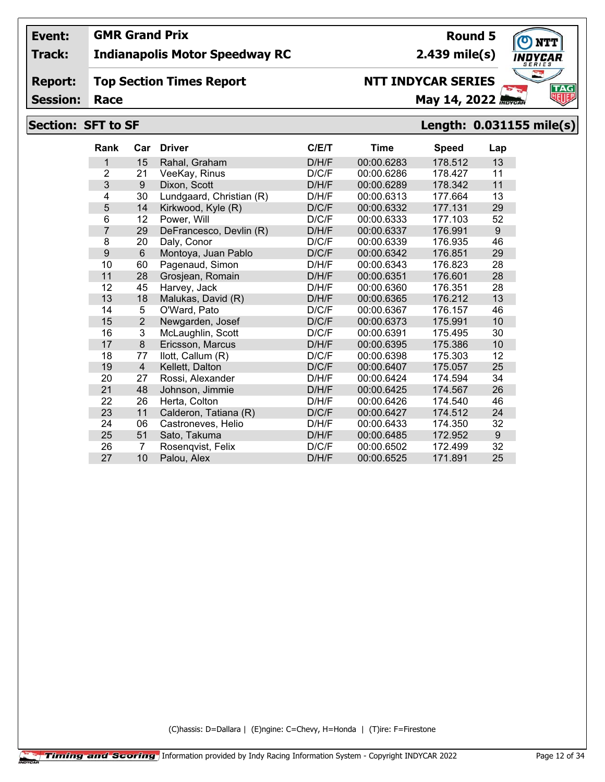## **Track: Indianapolis Motor Speedway RC**

#### **Report: Top Section Times Report**

**Session:**

# **NTT INDYCAR SERIES**

**Race May 14, 2022** *Race* 

## **Section: SFT to SF Length: 0.031155 mile(s)**

| <b>Rank</b>    | Car            | <b>Driver</b>            | C/E/T | Time       | <b>Speed</b> | Lap |
|----------------|----------------|--------------------------|-------|------------|--------------|-----|
| 1              | 15             | Rahal, Graham            | D/H/F | 00:00.6283 | 178.512      | 13  |
| $\overline{2}$ | 21             | VeeKay, Rinus            | D/C/F | 00:00.6286 | 178.427      | 11  |
| 3              | 9              | Dixon, Scott             | D/H/F | 00:00.6289 | 178.342      | 11  |
| 4              | 30             | Lundgaard, Christian (R) | D/H/F | 00:00.6313 | 177.664      | 13  |
| 5              | 14             | Kirkwood, Kyle (R)       | D/C/F | 00:00.6332 | 177.131      | 29  |
| 6              | 12             | Power, Will              | D/C/F | 00:00.6333 | 177.103      | 52  |
| 7              | 29             | DeFrancesco, Devlin (R)  | D/H/F | 00:00.6337 | 176.991      | 9   |
| 8              | 20             | Daly, Conor              | D/C/F | 00:00.6339 | 176.935      | 46  |
| 9              | 6              | Montoya, Juan Pablo      | D/C/F | 00:00.6342 | 176.851      | 29  |
| 10             | 60             | Pagenaud, Simon          | D/H/F | 00:00.6343 | 176.823      | 28  |
| 11             | 28             | Grosjean, Romain         | D/H/F | 00:00.6351 | 176.601      | 28  |
| 12             | 45             | Harvey, Jack             | D/H/F | 00:00.6360 | 176.351      | 28  |
| 13             | 18             | Malukas, David (R)       | D/H/F | 00:00.6365 | 176.212      | 13  |
| 14             | 5              | O'Ward, Pato             | D/C/F | 00:00.6367 | 176.157      | 46  |
| 15             | $\overline{2}$ | Newgarden, Josef         | D/C/F | 00:00.6373 | 175.991      | 10  |
| 16             | 3              | McLaughlin, Scott        | D/C/F | 00:00.6391 | 175.495      | 30  |
| 17             | 8              | Ericsson, Marcus         | D/H/F | 00:00.6395 | 175.386      | 10  |
| 18             | 77             | llott, Callum (R)        | D/C/F | 00:00.6398 | 175.303      | 12  |
| 19             | 4              | Kellett, Dalton          | D/C/F | 00:00.6407 | 175.057      | 25  |
| 20             | 27             | Rossi, Alexander         | D/H/F | 00:00.6424 | 174.594      | 34  |
| 21             | 48             | Johnson, Jimmie          | D/H/F | 00:00.6425 | 174.567      | 26  |
| 22             | 26             | Herta, Colton            | D/H/F | 00:00.6426 | 174.540      | 46  |
| 23             | 11             | Calderon, Tatiana (R)    | D/C/F | 00:00.6427 | 174.512      | 24  |
| 24             | 06             | Castroneves, Helio       | D/H/F | 00:00.6433 | 174.350      | 32  |
| 25             | 51             | Sato, Takuma             | D/H/F | 00:00.6485 | 172.952      | 9   |
| 26             | 7              | Rosenqvist, Felix        | D/C/F | 00:00.6502 | 172.499      | 32  |
| 27             | 10             | Palou, Alex              | D/H/F | 00:00.6525 | 171.891      | 25  |

(C)hassis: D=Dallara | (E)ngine: C=Chevy, H=Honda | (T)ire: F=Firestone

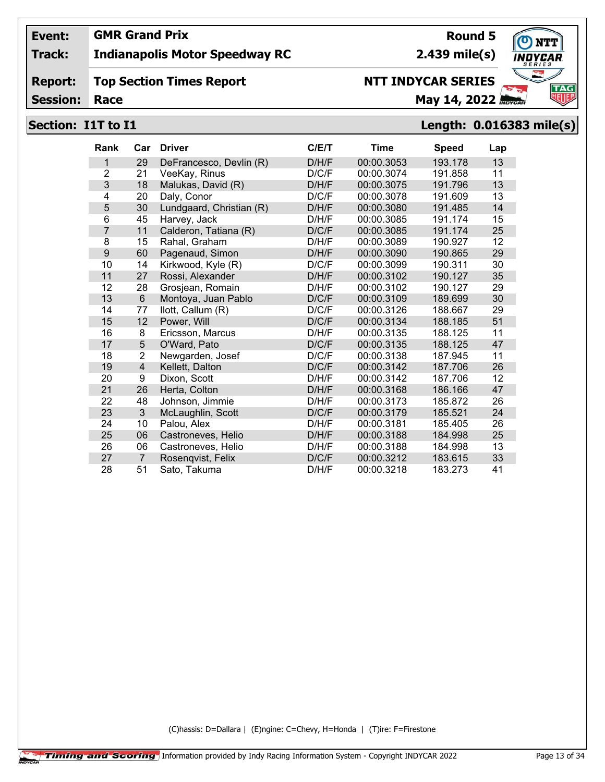## **Track: Indianapolis Motor Speedway RC**

#### **Report: Top Section Times Report**

**Session:**

# **NTT INDYCAR SERIES**

**Race May 14, 2022** *May 14, 2022* 

# **Section: I1T to I1 Length: 0.016383 mile(s)**

| <b>Rank</b>    | Car            | <b>Driver</b>            | C/E/T | <b>Time</b> | <b>Speed</b> | Lap |
|----------------|----------------|--------------------------|-------|-------------|--------------|-----|
| 1              | 29             | DeFrancesco, Devlin (R)  | D/H/F | 00:00.3053  | 193.178      | 13  |
| $\overline{2}$ | 21             | VeeKay, Rinus            | D/C/F | 00:00.3074  | 191.858      | 11  |
| 3              | 18             | Malukas, David (R)       | D/H/F | 00:00.3075  | 191.796      | 13  |
| 4              | 20             | Daly, Conor              | D/C/F | 00:00.3078  | 191.609      | 13  |
| 5              | 30             | Lundgaard, Christian (R) | D/H/F | 00:00.3080  | 191.485      | 14  |
| 6              | 45             | Harvey, Jack             | D/H/F | 00:00.3085  | 191.174      | 15  |
| $\overline{7}$ | 11             | Calderon, Tatiana (R)    | D/C/F | 00:00.3085  | 191.174      | 25  |
| 8              | 15             | Rahal, Graham            | D/H/F | 00:00.3089  | 190.927      | 12  |
| 9              | 60             | Pagenaud, Simon          | D/H/F | 00:00.3090  | 190.865      | 29  |
| 10             | 14             | Kirkwood, Kyle (R)       | D/C/F | 00:00.3099  | 190.311      | 30  |
| 11             | 27             | Rossi, Alexander         | D/H/F | 00:00.3102  | 190.127      | 35  |
| 12             | 28             | Grosjean, Romain         | D/H/F | 00:00.3102  | 190.127      | 29  |
| 13             | 6              | Montoya, Juan Pablo      | D/C/F | 00:00.3109  | 189.699      | 30  |
| 14             | 77             | llott, Callum (R)        | D/C/F | 00:00.3126  | 188.667      | 29  |
| 15             | 12             | Power, Will              | D/C/F | 00:00.3134  | 188.185      | 51  |
| 16             | 8              | Ericsson, Marcus         | D/H/F | 00:00.3135  | 188.125      | 11  |
| 17             | 5              | O'Ward, Pato             | D/C/F | 00:00.3135  | 188.125      | 47  |
| 18             | 2              | Newgarden, Josef         | D/C/F | 00:00.3138  | 187.945      | 11  |
| 19             | $\overline{4}$ | Kellett, Dalton          | D/C/F | 00:00.3142  | 187.706      | 26  |
| 20             | 9              | Dixon, Scott             | D/H/F | 00:00.3142  | 187.706      | 12  |
| 21             | 26             | Herta, Colton            | D/H/F | 00:00.3168  | 186.166      | 47  |
| 22             | 48             | Johnson, Jimmie          | D/H/F | 00:00.3173  | 185.872      | 26  |
| 23             | 3              | McLaughlin, Scott        | D/C/F | 00:00.3179  | 185.521      | 24  |
| 24             | 10             | Palou, Alex              | D/H/F | 00:00.3181  | 185.405      | 26  |
| 25             | 06             | Castroneves, Helio       | D/H/F | 00:00.3188  | 184.998      | 25  |
| 26             | 06             | Castroneves, Helio       | D/H/F | 00:00.3188  | 184.998      | 13  |
| 27             | 7              | Rosenqvist, Felix        | D/C/F | 00:00.3212  | 183.615      | 33  |
| 28             | 51             | Sato, Takuma             | D/H/F | 00:00.3218  | 183.273      | 41  |

(C)hassis: D=Dallara | (E)ngine: C=Chevy, H=Honda | (T)ire: F=Firestone



**2.439 mile(s)**

**Round 5**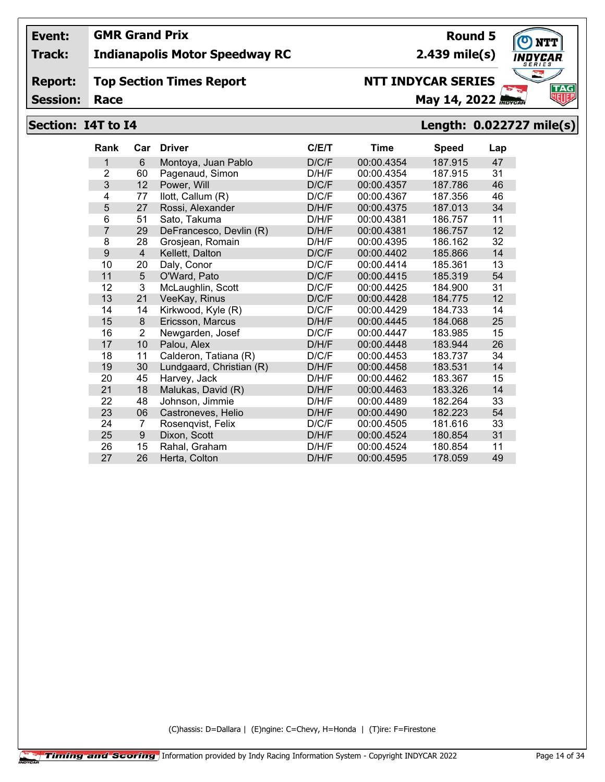## **Track: Indianapolis Motor Speedway RC**

#### **Report: Top Section Times Report**

**Session:**

# **NTT INDYCAR SERIES**

**Race May 14, 2022** *Race* 

# **Section: I4T to I4 Length: 0.022727 mile(s)**

| <b>Rank</b>    | Car            | <b>Driver</b>            | C/ET  | Time       | <b>Speed</b> | Lap |
|----------------|----------------|--------------------------|-------|------------|--------------|-----|
| 1              | 6              | Montoya, Juan Pablo      | D/C/F | 00:00.4354 | 187.915      | 47  |
| $\overline{2}$ | 60             | Pagenaud, Simon          | D/H/F | 00:00.4354 | 187.915      | 31  |
| 3              | 12             | Power, Will              | D/C/F | 00:00.4357 | 187.786      | 46  |
| 4              | 77             | llott, Callum (R)        | D/C/F | 00:00.4367 | 187.356      | 46  |
| 5              | 27             | Rossi, Alexander         | D/H/F | 00:00.4375 | 187.013      | 34  |
| 6              | 51             | Sato, Takuma             | D/H/F | 00:00.4381 | 186.757      | 11  |
| $\overline{7}$ | 29             | DeFrancesco, Devlin (R)  | D/H/F | 00:00.4381 | 186.757      | 12  |
| 8              | 28             | Grosjean, Romain         | D/H/F | 00:00.4395 | 186.162      | 32  |
| 9              | $\overline{4}$ | Kellett, Dalton          | D/C/F | 00:00.4402 | 185.866      | 14  |
| 10             | 20             | Daly, Conor              | D/C/F | 00:00.4414 | 185.361      | 13  |
| 11             | 5              | O'Ward, Pato             | D/C/F | 00:00.4415 | 185.319      | 54  |
| 12             | 3              | McLaughlin, Scott        | D/C/F | 00:00.4425 | 184.900      | 31  |
| 13             | 21             | VeeKay, Rinus            | D/C/F | 00:00.4428 | 184.775      | 12  |
| 14             | 14             | Kirkwood, Kyle (R)       | D/C/F | 00:00.4429 | 184.733      | 14  |
| 15             | 8              | Ericsson, Marcus         | D/H/F | 00:00.4445 | 184.068      | 25  |
| 16             | $\overline{2}$ | Newgarden, Josef         | D/C/F | 00:00.4447 | 183.985      | 15  |
| 17             | 10             | Palou, Alex              | D/H/F | 00:00.4448 | 183.944      | 26  |
| 18             | 11             | Calderon, Tatiana (R)    | D/C/F | 00:00.4453 | 183.737      | 34  |
| 19             | 30             | Lundgaard, Christian (R) | D/H/F | 00:00.4458 | 183.531      | 14  |
| 20             | 45             | Harvey, Jack             | D/H/F | 00:00.4462 | 183.367      | 15  |
| 21             | 18             | Malukas, David (R)       | D/H/F | 00:00.4463 | 183.326      | 14  |
| 22             | 48             | Johnson, Jimmie          | D/H/F | 00:00.4489 | 182.264      | 33  |
| 23             | 06             | Castroneves, Helio       | D/H/F | 00:00.4490 | 182.223      | 54  |
| 24             | 7              | Rosenqvist, Felix        | D/C/F | 00:00.4505 | 181.616      | 33  |
| 25             | 9              | Dixon, Scott             | D/H/F | 00:00.4524 | 180.854      | 31  |
| 26             | 15             | Rahal, Graham            | D/H/F | 00:00.4524 | 180.854      | 11  |
| 27             | 26             | Herta, Colton            | D/H/F | 00:00.4595 | 178.059      | 49  |

(C)hassis: D=Dallara | (E)ngine: C=Chevy, H=Honda | (T)ire: F=Firestone

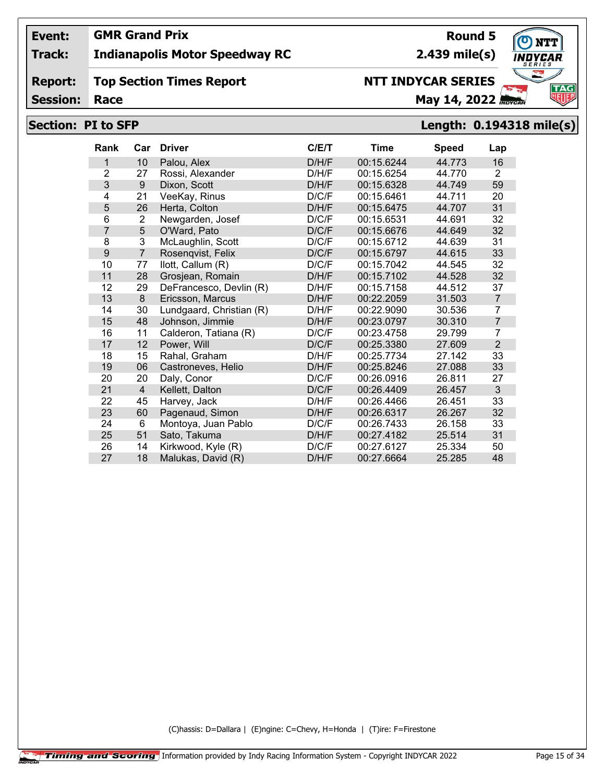## **Track: Indianapolis Motor Speedway RC**

#### **Report: Top Section Times Report**

**Session:**

# **NTT INDYCAR SERIES**

**Race May 14, 2022** *Race* 

## **Section: PI to SFP Length: 0.194318 mile(s)**

| <b>Rank</b>    | Car | <b>Driver</b>            | C/ET  | Time       | <b>Speed</b> | Lap            |
|----------------|-----|--------------------------|-------|------------|--------------|----------------|
| 1              | 10  | Palou, Alex              | D/H/F | 00:15.6244 | 44.773       | 16             |
| $\overline{2}$ | 27  | Rossi, Alexander         | D/H/F | 00:15.6254 | 44.770       | 2              |
| 3              | 9   | Dixon, Scott             | D/H/F | 00:15.6328 | 44.749       | 59             |
| 4              | 21  | VeeKay, Rinus            | D/C/F | 00:15.6461 | 44.711       | 20             |
| 5              | 26  | Herta, Colton            | D/H/F | 00:15.6475 | 44.707       | 31             |
| 6              | 2   | Newgarden, Josef         | D/C/F | 00:15.6531 | 44.691       | 32             |
| 7              | 5   | O'Ward, Pato             | D/C/F | 00:15.6676 | 44.649       | 32             |
| 8              | 3   | McLaughlin, Scott        | D/C/F | 00:15.6712 | 44.639       | 31             |
| 9              | 7   | Rosenqvist, Felix        | D/C/F | 00:15.6797 | 44.615       | 33             |
| 10             | 77  | llott, Callum (R)        | D/C/F | 00:15.7042 | 44.545       | 32             |
| 11             | 28  | Grosjean, Romain         | D/H/F | 00:15.7102 | 44.528       | 32             |
| 12             | 29  | DeFrancesco, Devlin (R)  | D/H/F | 00:15.7158 | 44.512       | 37             |
| 13             | 8   | Ericsson, Marcus         | D/H/F | 00:22.2059 | 31.503       | $\overline{7}$ |
| 14             | 30  | Lundgaard, Christian (R) | D/H/F | 00:22.9090 | 30.536       | 7              |
| 15             | 48  | Johnson, Jimmie          | D/H/F | 00:23.0797 | 30.310       | $\overline{7}$ |
| 16             | 11  | Calderon, Tatiana (R)    | D/C/F | 00:23.4758 | 29.799       | 7              |
| 17             | 12  | Power, Will              | D/C/F | 00:25.3380 | 27.609       | $\overline{2}$ |
| 18             | 15  | Rahal, Graham            | D/H/F | 00:25.7734 | 27.142       | 33             |
| 19             | 06  | Castroneves, Helio       | D/H/F | 00:25.8246 | 27.088       | 33             |
| 20             | 20  | Daly, Conor              | D/C/F | 00:26.0916 | 26.811       | 27             |
| 21             | 4   | Kellett, Dalton          | D/C/F | 00:26.4409 | 26.457       | 3              |
| 22             | 45  | Harvey, Jack             | D/H/F | 00:26.4466 | 26.451       | 33             |
| 23             | 60  | Pagenaud, Simon          | D/H/F | 00:26.6317 | 26.267       | 32             |
| 24             | 6   | Montoya, Juan Pablo      | D/C/F | 00:26.7433 | 26.158       | 33             |
| 25             | 51  | Sato, Takuma             | D/H/F | 00:27.4182 | 25.514       | 31             |
| 26             | 14  | Kirkwood, Kyle (R)       | D/C/F | 00:27.6127 | 25.334       | 50             |
| 27             | 18  | Malukas, David (R)       | D/H/F | 00:27.6664 | 25.285       | 48             |

(C)hassis: D=Dallara | (E)ngine: C=Chevy, H=Honda | (T)ire: F=Firestone



**Round 5**

**2.439 mile(s)**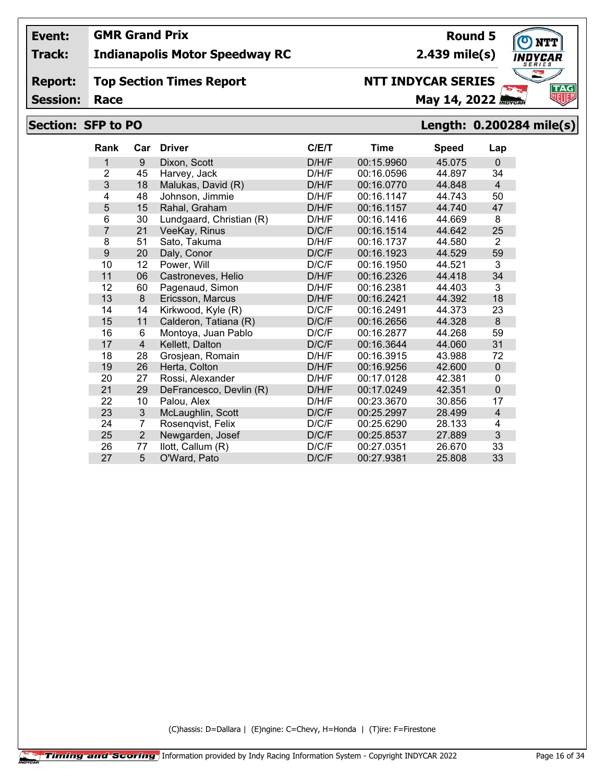## **Track: Indianapolis Motor Speedway RC**

#### **Report: Top Section Times Report**

**Session:**

# **NTT INDYCAR SERIES**

**Race May 14, 2022** *Race* **May 14, 2022** *RBYCAL* 

## **Section: SFP to PO Length: 0.200284 mile(s)**

| <b>Rank</b>    | Car            | <b>Driver</b>            | C/ET  | Time       | <b>Speed</b> | Lap              |
|----------------|----------------|--------------------------|-------|------------|--------------|------------------|
| 1              | 9              | Dixon, Scott             | D/H/F | 00:15.9960 | 45.075       | $\Omega$         |
| $\overline{2}$ | 45             | Harvey, Jack             | D/H/F | 00:16.0596 | 44.897       | 34               |
| 3              | 18             | Malukas, David (R)       | D/H/F | 00:16.0770 | 44.848       | $\overline{4}$   |
| 4              | 48             | Johnson, Jimmie          | D/H/F | 00:16.1147 | 44.743       | 50               |
| 5              | 15             | Rahal, Graham            | D/H/F | 00:16.1157 | 44.740       | 47               |
| 6              | 30             | Lundgaard, Christian (R) | D/H/F | 00:16.1416 | 44.669       | 8                |
| $\overline{7}$ | 21             | VeeKay, Rinus            | D/C/F | 00:16.1514 | 44.642       | 25               |
| 8              | 51             | Sato, Takuma             | D/H/F | 00:16.1737 | 44.580       | $\overline{2}$   |
| 9              | 20             | Daly, Conor              | D/C/F | 00:16.1923 | 44.529       | 59               |
| 10             | 12             | Power, Will              | D/C/F | 00:16.1950 | 44.521       | 3                |
| 11             | 06             | Castroneves, Helio       | D/H/F | 00:16.2326 | 44.418       | 34               |
| 12             | 60             | Pagenaud, Simon          | D/H/F | 00:16.2381 | 44.403       | 3                |
| 13             | 8              | Ericsson, Marcus         | D/H/F | 00:16.2421 | 44.392       | 18               |
| 14             | 14             | Kirkwood, Kyle (R)       | D/C/F | 00:16.2491 | 44.373       | 23               |
| 15             | 11             | Calderon, Tatiana (R)    | D/C/F | 00:16.2656 | 44.328       | $\boldsymbol{8}$ |
| 16             | 6              | Montoya, Juan Pablo      | D/C/F | 00:16.2877 | 44.268       | 59               |
| 17             | $\overline{4}$ | Kellett, Dalton          | D/C/F | 00:16.3644 | 44.060       | 31               |
| 18             | 28             | Grosjean, Romain         | D/H/F | 00:16.3915 | 43.988       | 72               |
| 19             | 26             | Herta, Colton            | D/H/F | 00:16.9256 | 42.600       | $\mathbf 0$      |
| 20             | 27             | Rossi, Alexander         | D/H/F | 00:17.0128 | 42.381       | $\Omega$         |
| 21             | 29             | DeFrancesco, Devlin (R)  | D/H/F | 00:17.0249 | 42.351       | $\mathbf 0$      |
| 22             | 10             | Palou, Alex              | D/H/F | 00:23.3670 | 30.856       | 17               |
| 23             | 3              | McLaughlin, Scott        | D/C/F | 00:25.2997 | 28.499       | $\overline{4}$   |
| 24             | 7              | Rosenqvist, Felix        | D/C/F | 00:25.6290 | 28.133       | 4                |
| 25             | $\overline{2}$ | Newgarden, Josef         | D/C/F | 00:25.8537 | 27.889       | 3                |
| 26             | 77             | llott, Callum (R)        | D/C/F | 00:27.0351 | 26.670       | 33               |
| 27             | 5              | O'Ward, Pato             | D/C/F | 00:27.9381 | 25.808       | 33               |

(C)hassis: D=Dallara | (E)ngine: C=Chevy, H=Honda | (T)ire: F=Firestone

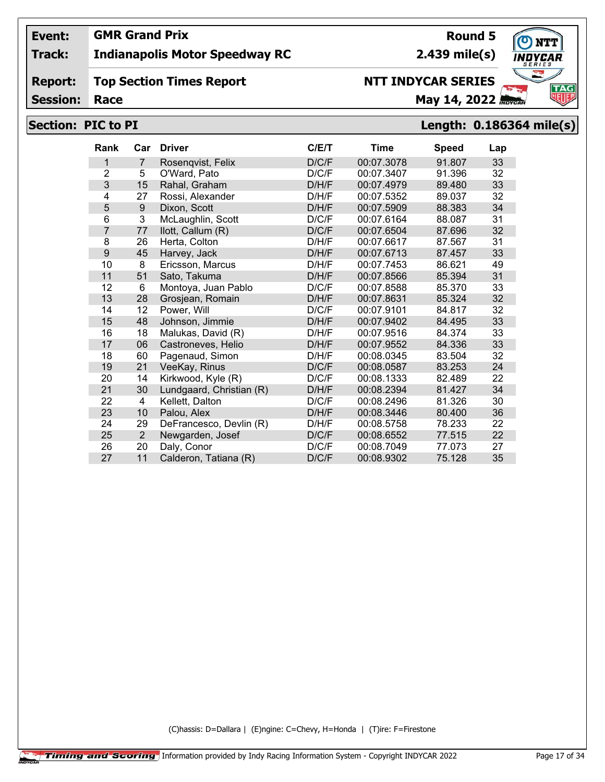## **Track: Indianapolis Motor Speedway RC**

#### **Report: Top Section Times Report**

**Session:**

# **Race May 14, 2022** *May 14, 2022* **NTT INDYCAR SERIES**

**2.439 mile(s)**

**Round 5**

## **Section: PIC to PI Length: 0.186364 mile(s)**

| <b>Rank</b>    | Car            | <b>Driver</b>            | C/ET  | Time       | <b>Speed</b> | Lap |
|----------------|----------------|--------------------------|-------|------------|--------------|-----|
| 1              | $\overline{7}$ | Rosengvist, Felix        | D/C/F | 00:07.3078 | 91.807       | 33  |
| $\overline{2}$ | 5              | O'Ward, Pato             | D/C/F | 00:07.3407 | 91.396       | 32  |
| 3              | 15             | Rahal, Graham            | D/H/F | 00:07.4979 | 89.480       | 33  |
| 4              | 27             | Rossi, Alexander         | D/H/F | 00:07.5352 | 89.037       | 32  |
| 5              | 9              | Dixon, Scott             | D/H/F | 00:07.5909 | 88.383       | 34  |
| 6              | 3              | McLaughlin, Scott        | D/C/F | 00:07.6164 | 88.087       | 31  |
| 7              | 77             | llott, Callum (R)        | D/C/F | 00:07.6504 | 87.696       | 32  |
| 8              | 26             | Herta, Colton            | D/H/F | 00:07.6617 | 87.567       | 31  |
| 9              | 45             | Harvey, Jack             | D/H/F | 00:07.6713 | 87.457       | 33  |
| 10             | 8              | Ericsson, Marcus         | D/H/F | 00:07.7453 | 86.621       | 49  |
| 11             | 51             | Sato, Takuma             | D/H/F | 00:07.8566 | 85.394       | 31  |
| 12             | 6              | Montoya, Juan Pablo      | D/C/F | 00:07.8588 | 85.370       | 33  |
| 13             | 28             | Grosjean, Romain         | D/H/F | 00:07.8631 | 85.324       | 32  |
| 14             | 12             | Power, Will              | D/C/F | 00:07.9101 | 84.817       | 32  |
| 15             | 48             | Johnson, Jimmie          | D/H/F | 00:07.9402 | 84.495       | 33  |
| 16             | 18             | Malukas, David (R)       | D/H/F | 00:07.9516 | 84.374       | 33  |
| 17             | 06             | Castroneves, Helio       | D/H/F | 00:07.9552 | 84.336       | 33  |
| 18             | 60             | Pagenaud, Simon          | D/H/F | 00:08.0345 | 83.504       | 32  |
| 19             | 21             | VeeKay, Rinus            | D/C/F | 00:08.0587 | 83.253       | 24  |
| 20             | 14             | Kirkwood, Kyle (R)       | D/C/F | 00:08.1333 | 82.489       | 22  |
| 21             | 30             | Lundgaard, Christian (R) | D/H/F | 00:08.2394 | 81.427       | 34  |
| 22             | 4              | Kellett, Dalton          | D/C/F | 00:08.2496 | 81.326       | 30  |
| 23             | 10             | Palou, Alex              | D/H/F | 00:08.3446 | 80.400       | 36  |
| 24             | 29             | DeFrancesco, Devlin (R)  | D/H/F | 00:08.5758 | 78.233       | 22  |
| 25             | $\overline{2}$ | Newgarden, Josef         | D/C/F | 00:08.6552 | 77.515       | 22  |
| 26             | 20             | Daly, Conor              | D/C/F | 00:08.7049 | 77.073       | 27  |
| 27             | 11             | Calderon, Tatiana (R)    | D/C/F | 00:08.9302 | 75.128       | 35  |

(C)hassis: D=Dallara | (E)ngine: C=Chevy, H=Honda | (T)ire: F=Firestone

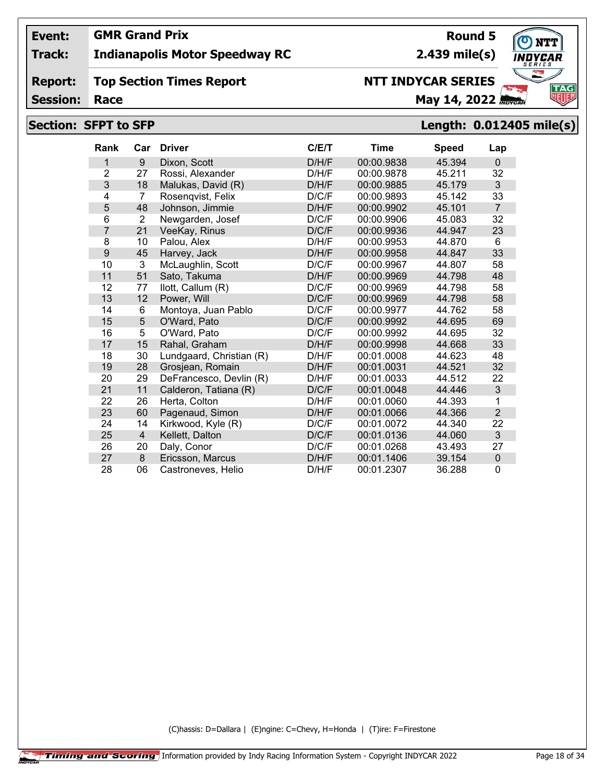## **Track: Indianapolis Motor Speedway RC**

#### **Report: Top Section Times Report**

**Session:**

# **Race May 14, 2022** *Race* **May 14, 2022** *RBYCAL*

# **Section: SFPT to SFP Length: 0.012405 mile(s)**

| <b>Rank</b>    | Car            | <b>Driver</b>            | C/E/T | Time       | <b>Speed</b> | Lap            |
|----------------|----------------|--------------------------|-------|------------|--------------|----------------|
| 1              | 9              | Dixon, Scott             | D/H/F | 00:00.9838 | 45.394       | $\Omega$       |
| $\overline{2}$ | 27             | Rossi, Alexander         | D/H/F | 00:00.9878 | 45.211       | 32             |
| 3              | 18             | Malukas, David (R)       | D/H/F | 00:00.9885 | 45.179       | 3              |
| $\overline{4}$ | $\overline{7}$ | Rosenqvist, Felix        | D/C/F | 00:00.9893 | 45.142       | 33             |
| 5              | 48             | Johnson, Jimmie          | D/H/F | 00:00.9902 | 45.101       | $\overline{7}$ |
| 6              | $\overline{2}$ | Newgarden, Josef         | D/C/F | 00:00.9906 | 45.083       | 32             |
| $\overline{7}$ | 21             | VeeKay, Rinus            | D/C/F | 00:00.9936 | 44.947       | 23             |
| 8              | 10             | Palou, Alex              | D/H/F | 00:00.9953 | 44.870       | 6              |
| 9              | 45             | Harvey, Jack             | D/H/F | 00:00.9958 | 44.847       | 33             |
| 10             | 3              | McLaughlin, Scott        | D/C/F | 00:00.9967 | 44.807       | 58             |
| 11             | 51             | Sato, Takuma             | D/H/F | 00:00.9969 | 44.798       | 48             |
| 12             | 77             | llott, Callum (R)        | D/C/F | 00:00.9969 | 44.798       | 58             |
| 13             | 12             | Power, Will              | D/C/F | 00:00.9969 | 44.798       | 58             |
| 14             | 6              | Montoya, Juan Pablo      | D/C/F | 00:00.9977 | 44.762       | 58             |
| 15             | 5              | O'Ward, Pato             | D/C/F | 00:00.9992 | 44.695       | 69             |
| 16             | 5              | O'Ward, Pato             | D/C/F | 00:00.9992 | 44.695       | 32             |
| 17             | 15             | Rahal, Graham            | D/H/F | 00:00.9998 | 44.668       | 33             |
| 18             | 30             | Lundgaard, Christian (R) | D/H/F | 00:01.0008 | 44.623       | 48             |
| 19             | 28             | Grosjean, Romain         | D/H/F | 00:01.0031 | 44.521       | 32             |
| 20             | 29             | DeFrancesco, Devlin (R)  | D/H/F | 00:01.0033 | 44.512       | 22             |
| 21             | 11             | Calderon, Tatiana (R)    | D/C/F | 00:01.0048 | 44.446       | 3              |
| 22             | 26             | Herta, Colton            | D/H/F | 00:01.0060 | 44.393       | 1              |
| 23             | 60             | Pagenaud, Simon          | D/H/F | 00:01.0066 | 44.366       | $\overline{2}$ |
| 24             | 14             | Kirkwood, Kyle (R)       | D/C/F | 00:01.0072 | 44.340       | 22             |
| 25             | $\overline{4}$ | Kellett, Dalton          | D/C/F | 00:01.0136 | 44.060       | 3              |
| 26             | 20             | Daly, Conor              | D/C/F | 00:01.0268 | 43.493       | 27             |
| 27             | 8              | Ericsson, Marcus         | D/H/F | 00:01.1406 | 39.154       | $\pmb{0}$      |
| 28             | 06             | Castroneves, Helio       | D/H/F | 00:01.2307 | 36.288       | 0              |

(C)hassis: D=Dallara | (E)ngine: C=Chevy, H=Honda | (T)ire: F=Firestone



**Round 5 2.439 mile(s)**

**NTT INDYCAR SERIES**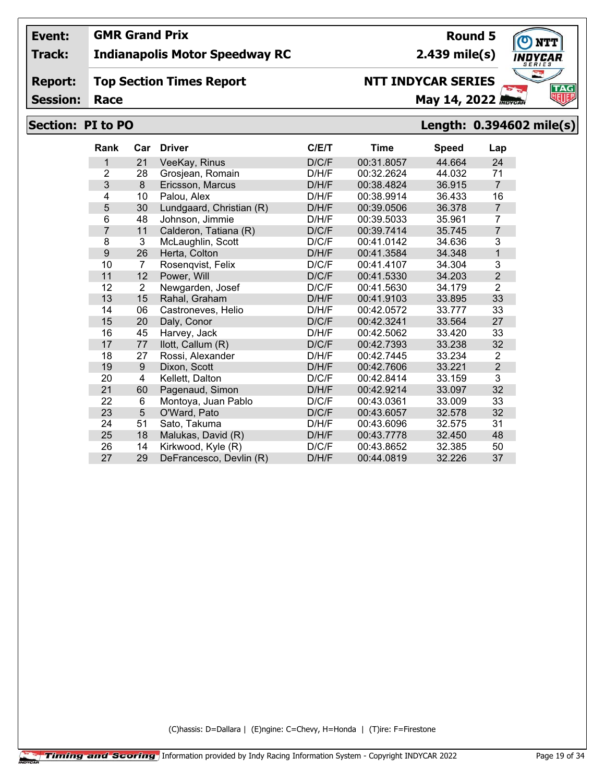## **Track: Indianapolis Motor Speedway RC**

#### **Report: Top Section Times Report**

**Session:**

# **NTT INDYCAR SERIES**

**Race May 14, 2022** *May 14, 2022* 

# **Section: PI to PO Length: 0.394602 mile(s)**

| <b>Rank</b>    | Car | <b>Driver</b>            | C/E/T | Time       | <b>Speed</b> | Lap            |
|----------------|-----|--------------------------|-------|------------|--------------|----------------|
| 1              | 21  | VeeKay, Rinus            | D/C/F | 00:31.8057 | 44.664       | 24             |
| 2              | 28  | Grosjean, Romain         | D/H/F | 00:32.2624 | 44.032       | 71             |
| 3              | 8   | Ericsson, Marcus         | D/H/F | 00:38.4824 | 36.915       | $\overline{7}$ |
| 4              | 10  | Palou, Alex              | D/H/F | 00:38.9914 | 36.433       | 16             |
| 5              | 30  | Lundgaard, Christian (R) | D/H/F | 00:39.0506 | 36.378       | $\overline{7}$ |
| 6              | 48  | Johnson, Jimmie          | D/H/F | 00:39.5033 | 35.961       | 7              |
| $\overline{7}$ | 11  | Calderon, Tatiana (R)    | D/C/F | 00:39.7414 | 35.745       | 7              |
| 8              | 3   | McLaughlin, Scott        | D/C/F | 00:41.0142 | 34.636       | 3              |
| 9              | 26  | Herta, Colton            | D/H/F | 00:41.3584 | 34.348       | 1              |
| 10             | 7   | Rosengvist, Felix        | D/C/F | 00:41.4107 | 34.304       | 3              |
| 11             | 12  | Power, Will              | D/C/F | 00:41.5330 | 34.203       | $\overline{2}$ |
| 12             | 2   | Newgarden, Josef         | D/C/F | 00:41.5630 | 34.179       | $\overline{2}$ |
| 13             | 15  | Rahal, Graham            | D/H/F | 00:41.9103 | 33.895       | 33             |
| 14             | 06  | Castroneves, Helio       | D/H/F | 00:42.0572 | 33.777       | 33             |
| 15             | 20  | Daly, Conor              | D/C/F | 00:42.3241 | 33.564       | 27             |
| 16             | 45  | Harvey, Jack             | D/H/F | 00:42.5062 | 33.420       | 33             |
| 17             | 77  | llott, Callum (R)        | D/C/F | 00:42.7393 | 33.238       | 32             |
| 18             | 27  | Rossi, Alexander         | D/H/F | 00:42.7445 | 33.234       | 2              |
| 19             | 9   | Dixon, Scott             | D/H/F | 00:42.7606 | 33.221       | $\overline{2}$ |
| 20             | 4   | Kellett, Dalton          | D/C/F | 00:42.8414 | 33.159       | 3              |
| 21             | 60  | Pagenaud, Simon          | D/H/F | 00:42.9214 | 33.097       | 32             |
| 22             | 6   | Montoya, Juan Pablo      | D/C/F | 00:43.0361 | 33.009       | 33             |
| 23             | 5   | O'Ward, Pato             | D/C/F | 00:43.6057 | 32.578       | 32             |
| 24             | 51  | Sato, Takuma             | D/H/F | 00:43.6096 | 32.575       | 31             |
| 25             | 18  | Malukas, David (R)       | D/H/F | 00:43.7778 | 32.450       | 48             |
| 26             | 14  | Kirkwood, Kyle (R)       | D/C/F | 00:43.8652 | 32.385       | 50             |
| 27             | 29  | DeFrancesco, Devlin (R)  | D/H/F | 00:44.0819 | 32.226       | 37             |

(C)hassis: D=Dallara | (E)ngine: C=Chevy, H=Honda | (T)ire: F=Firestone



# **Round 5**

**2.439 mile(s)**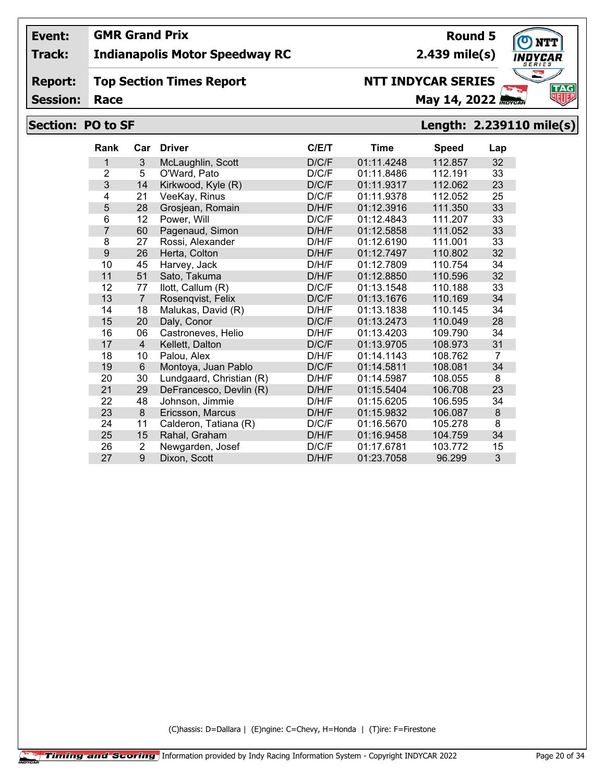## **Track: Indianapolis Motor Speedway RC**

#### **Report: Top Section Times Report**

**Session:**

# **NTT INDYCAR SERIES**

**Race May 14, 2022** *Race* 

## **Section: PO to SF Length: 2.239110 mile(s)**

| <b>Rank</b>    | Car            | <b>Driver</b>            | C/E/T | <b>Time</b> | <b>Speed</b> | Lap            |
|----------------|----------------|--------------------------|-------|-------------|--------------|----------------|
| 1              | 3              | McLaughlin, Scott        | D/C/F | 01:11.4248  | 112.857      | 32             |
| $\overline{2}$ | 5              | O'Ward, Pato             | D/C/F | 01:11.8486  | 112.191      | 33             |
| 3              | 14             | Kirkwood, Kyle (R)       | D/C/F | 01:11.9317  | 112.062      | 23             |
| 4              | 21             | VeeKay, Rinus            | D/C/F | 01:11.9378  | 112.052      | 25             |
| 5              | 28             | Grosjean, Romain         | D/H/F | 01:12.3916  | 111.350      | 33             |
| 6              | 12             | Power, Will              | D/C/F | 01:12.4843  | 111.207      | 33             |
| 7              | 60             | Pagenaud, Simon          | D/H/F | 01:12.5858  | 111.052      | 33             |
| 8              | 27             | Rossi, Alexander         | D/H/F | 01:12.6190  | 111.001      | 33             |
| 9              | 26             | Herta, Colton            | D/H/F | 01:12.7497  | 110.802      | 32             |
| 10             | 45             | Harvey, Jack             | D/H/F | 01:12.7809  | 110.754      | 34             |
| 11             | 51             | Sato, Takuma             | D/H/F | 01:12.8850  | 110.596      | 32             |
| 12             | 77             | llott, Callum (R)        | D/C/F | 01:13.1548  | 110.188      | 33             |
| 13             | $\overline{7}$ | Rosenqvist, Felix        | D/C/F | 01:13.1676  | 110.169      | 34             |
| 14             | 18             | Malukas, David (R)       | D/H/F | 01:13.1838  | 110.145      | 34             |
| 15             | 20             | Daly, Conor              | D/C/F | 01:13.2473  | 110.049      | 28             |
| 16             | 06             | Castroneves, Helio       | D/H/F | 01:13.4203  | 109.790      | 34             |
| 17             | $\overline{4}$ | Kellett, Dalton          | D/C/F | 01:13.9705  | 108.973      | 31             |
| 18             | 10             | Palou. Alex              | D/H/F | 01:14.1143  | 108.762      | $\overline{7}$ |
| 19             | 6              | Montoya, Juan Pablo      | D/C/F | 01:14.5811  | 108.081      | 34             |
| 20             | 30             | Lundgaard, Christian (R) | D/H/F | 01:14.5987  | 108.055      | 8              |
| 21             | 29             | DeFrancesco, Devlin (R)  | D/H/F | 01:15.5404  | 106.708      | 23             |
| 22             | 48             | Johnson, Jimmie          | D/H/F | 01:15.6205  | 106.595      | 34             |
| 23             | 8              | Ericsson, Marcus         | D/H/F | 01:15.9832  | 106.087      | 8              |
| 24             | 11             | Calderon, Tatiana (R)    | D/C/F | 01:16.5670  | 105.278      | 8              |
| 25             | 15             | Rahal, Graham            | D/H/F | 01:16.9458  | 104.759      | 34             |
| 26             | 2              | Newgarden, Josef         | D/C/F | 01:17.6781  | 103.772      | 15             |
| 27             | 9              | Dixon, Scott             | D/H/F | 01:23.7058  | 96.299       | 3              |

(C)hassis: D=Dallara | (E)ngine: C=Chevy, H=Honda | (T)ire: F=Firestone

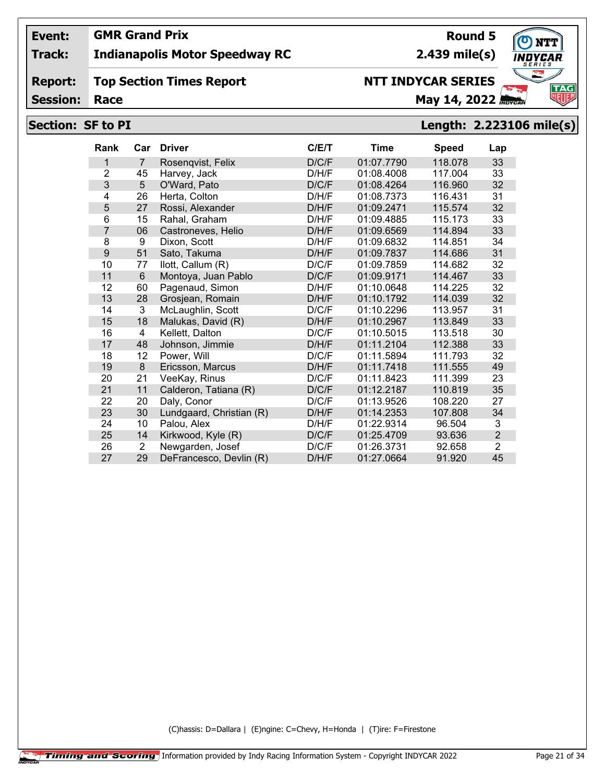## **Track: Indianapolis Motor Speedway RC**

#### **Report: Top Section Times Report**

**Session:**

# **NTT INDYCAR SERIES**

**Race May 14, 2022** *May 14, 2022* 

## **Section: SF to PI Length: 2.223106 mile(s)**

| <b>Rank</b> | Car            | <b>Driver</b>            | C/E/T | Time       | <b>Speed</b> | Lap            |
|-------------|----------------|--------------------------|-------|------------|--------------|----------------|
| 1           | $\overline{7}$ | Rosenqvist, Felix        | D/C/F | 01:07.7790 | 118.078      | 33             |
| 2           | 45             | Harvey, Jack             | D/H/F | 01:08.4008 | 117.004      | 33             |
| 3           | 5              | O'Ward, Pato             | D/C/F | 01:08.4264 | 116.960      | 32             |
| 4           | 26             | Herta, Colton            | D/H/F | 01:08.7373 | 116.431      | 31             |
| 5           | 27             | Rossi, Alexander         | D/H/F | 01:09.2471 | 115.574      | 32             |
| 6           | 15             | Rahal, Graham            | D/H/F | 01:09.4885 | 115.173      | 33             |
| 7           | 06             | Castroneves, Helio       | D/H/F | 01:09.6569 | 114.894      | 33             |
| 8           | 9              | Dixon, Scott             | D/H/F | 01:09.6832 | 114.851      | 34             |
| 9           | 51             | Sato, Takuma             | D/H/F | 01:09.7837 | 114.686      | 31             |
| 10          | 77             | llott, Callum (R)        | D/C/F | 01:09.7859 | 114.682      | 32             |
| 11          | 6              | Montoya, Juan Pablo      | D/C/F | 01:09.9171 | 114.467      | 33             |
| 12          | 60             | Pagenaud, Simon          | D/H/F | 01:10.0648 | 114.225      | 32             |
| 13          | 28             | Grosjean, Romain         | D/H/F | 01:10.1792 | 114.039      | 32             |
| 14          | 3              | McLaughlin, Scott        | D/C/F | 01:10.2296 | 113.957      | 31             |
| 15          | 18             | Malukas, David (R)       | D/H/F | 01:10.2967 | 113.849      | 33             |
| 16          | 4              | Kellett, Dalton          | D/C/F | 01:10.5015 | 113.518      | 30             |
| 17          | 48             | Johnson, Jimmie          | D/H/F | 01:11.2104 | 112.388      | 33             |
| 18          | 12             | Power, Will              | D/C/F | 01:11.5894 | 111.793      | 32             |
| 19          | 8              | Ericsson, Marcus         | D/H/F | 01:11.7418 | 111.555      | 49             |
| 20          | 21             | VeeKay, Rinus            | D/C/F | 01:11.8423 | 111.399      | 23             |
| 21          | 11             | Calderon, Tatiana (R)    | D/C/F | 01:12.2187 | 110.819      | 35             |
| 22          | 20             | Daly, Conor              | D/C/F | 01:13.9526 | 108.220      | 27             |
| 23          | 30             | Lundgaard, Christian (R) | D/H/F | 01:14.2353 | 107.808      | 34             |
| 24          | 10             | Palou, Alex              | D/H/F | 01:22.9314 | 96.504       | 3              |
| 25          | 14             | Kirkwood, Kyle (R)       | D/C/F | 01:25.4709 | 93.636       | $\overline{2}$ |
| 26          | $\overline{2}$ | Newgarden, Josef         | D/C/F | 01:26.3731 | 92.658       | $\overline{2}$ |
| 27          | 29             | DeFrancesco, Devlin (R)  | D/H/F | 01:27.0664 | 91.920       | 45             |

(C)hassis: D=Dallara | (E)ngine: C=Chevy, H=Honda | (T)ire: F=Firestone



**TAG**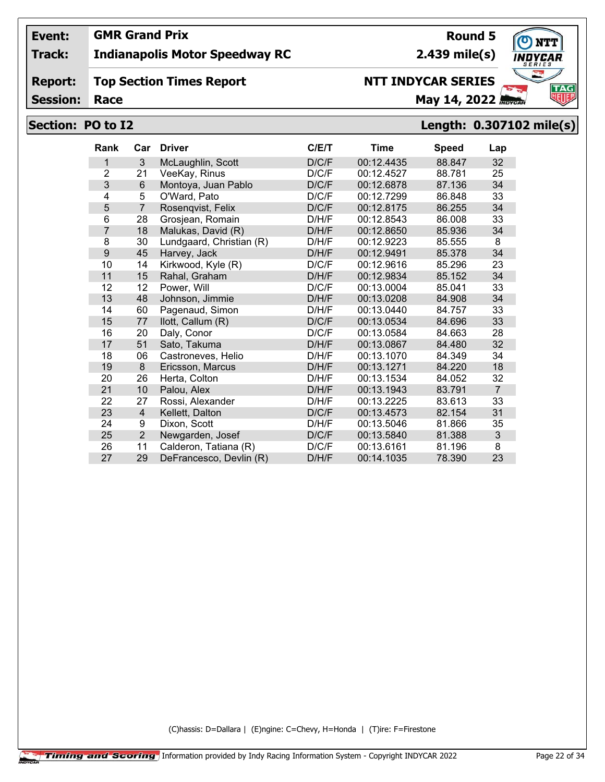## **Track: Indianapolis Motor Speedway RC**

#### **Report: Top Section Times Report**

**Session:**

# **NTT INDYCAR SERIES**

**Race May 14, 2022** *Race* 

## **Section: PO to I2 Length: 0.307102 mile(s)**

| <b>Rank</b>    | Car            | <b>Driver</b>            | C/E/T | Time       | <b>Speed</b> | Lap            |
|----------------|----------------|--------------------------|-------|------------|--------------|----------------|
| 1              | 3              | McLaughlin, Scott        | D/C/F | 00:12.4435 | 88.847       | 32             |
| $\overline{2}$ | 21             | VeeKay, Rinus            | D/C/F | 00:12.4527 | 88.781       | 25             |
| 3              | 6              | Montoya, Juan Pablo      | D/C/F | 00:12.6878 | 87.136       | 34             |
| 4              | 5              | O'Ward, Pato             | D/C/F | 00:12.7299 | 86.848       | 33             |
| 5              | $\overline{7}$ | Rosenqvist, Felix        | D/C/F | 00:12.8175 | 86.255       | 34             |
| 6              | 28             | Grosjean, Romain         | D/H/F | 00:12.8543 | 86.008       | 33             |
| $\overline{7}$ | 18             | Malukas, David (R)       | D/H/F | 00:12.8650 | 85.936       | 34             |
| 8              | 30             | Lundgaard, Christian (R) | D/H/F | 00:12.9223 | 85.555       | 8              |
| 9              | 45             | Harvey, Jack             | D/H/F | 00:12.9491 | 85.378       | 34             |
| 10             | 14             | Kirkwood, Kyle (R)       | D/C/F | 00:12.9616 | 85.296       | 23             |
| 11             | 15             | Rahal, Graham            | D/H/F | 00:12.9834 | 85.152       | 34             |
| 12             | 12             | Power, Will              | D/C/F | 00:13.0004 | 85.041       | 33             |
| 13             | 48             | Johnson, Jimmie          | D/H/F | 00:13.0208 | 84.908       | 34             |
| 14             | 60             | Pagenaud, Simon          | D/H/F | 00:13.0440 | 84.757       | 33             |
| 15             | 77             | llott, Callum (R)        | D/C/F | 00:13.0534 | 84.696       | 33             |
| 16             | 20             | Daly, Conor              | D/C/F | 00:13.0584 | 84.663       | 28             |
| 17             | 51             | Sato, Takuma             | D/H/F | 00:13.0867 | 84.480       | 32             |
| 18             | 06             | Castroneves, Helio       | D/H/F | 00:13.1070 | 84.349       | 34             |
| 19             | 8              | Ericsson, Marcus         | D/H/F | 00:13.1271 | 84.220       | 18             |
| 20             | 26             | Herta, Colton            | D/H/F | 00:13.1534 | 84.052       | 32             |
| 21             | 10             | Palou, Alex              | D/H/F | 00:13.1943 | 83.791       | $\overline{7}$ |
| 22             | 27             | Rossi, Alexander         | D/H/F | 00:13.2225 | 83.613       | 33             |
| 23             | 4              | Kellett, Dalton          | D/C/F | 00:13.4573 | 82.154       | 31             |
| 24             | 9              | Dixon, Scott             | D/H/F | 00:13.5046 | 81.866       | 35             |
| 25             | $\overline{2}$ | Newgarden, Josef         | D/C/F | 00:13.5840 | 81.388       | 3              |
| 26             | 11             | Calderon, Tatiana (R)    | D/C/F | 00:13.6161 | 81.196       | 8              |
| 27             | 29             | DeFrancesco, Devlin (R)  | D/H/F | 00:14.1035 | 78.390       | 23             |

(C)hassis: D=Dallara | (E)ngine: C=Chevy, H=Honda | (T)ire: F=Firestone

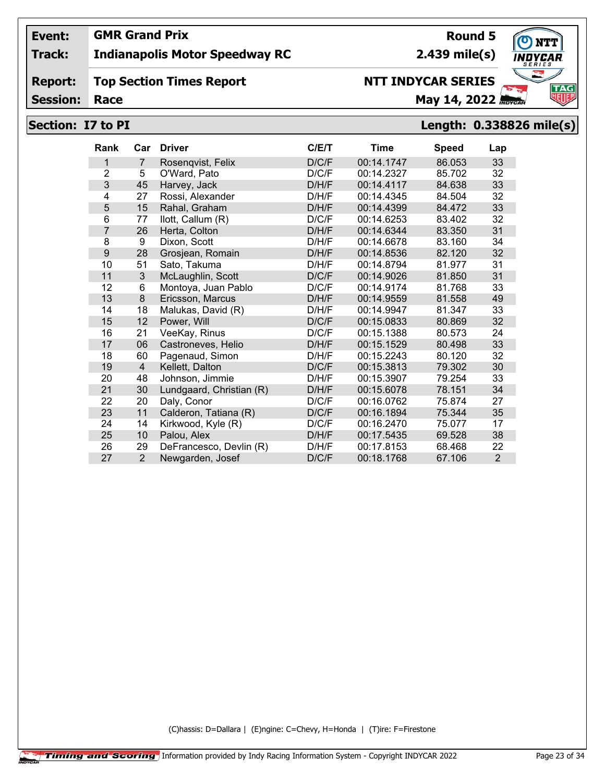## **GMR Grand Prix**

## **Track: Indianapolis Motor Speedway RC**

#### **Report: Top Section Times Report**

**Session:**

# **NTT INDYCAR SERIES**

**Race May 14, 2022** *May 14, 2022* 

# **Section: I7 to PI Length: 0.338826 mile(s)**

| <b>Rank</b>    | Car            | <b>Driver</b>            | C/ET  | Time       | <b>Speed</b> | Lap            |
|----------------|----------------|--------------------------|-------|------------|--------------|----------------|
| 1              | $\overline{7}$ | Rosenqvist, Felix        | D/C/F | 00:14.1747 | 86.053       | 33             |
| $\overline{2}$ | 5              | O'Ward, Pato             | D/C/F | 00:14.2327 | 85.702       | 32             |
| 3              | 45             | Harvey, Jack             | D/H/F | 00:14.4117 | 84.638       | 33             |
| 4              | 27             | Rossi, Alexander         | D/H/F | 00:14.4345 | 84.504       | 32             |
| 5              | 15             | Rahal, Graham            | D/H/F | 00:14.4399 | 84.472       | 33             |
| 6              | 77             | llott, Callum (R)        | D/C/F | 00:14.6253 | 83.402       | 32             |
| 7              | 26             | Herta, Colton            | D/H/F | 00:14.6344 | 83.350       | 31             |
| 8              | 9              | Dixon, Scott             | D/H/F | 00:14.6678 | 83.160       | 34             |
| 9              | 28             | Grosjean, Romain         | D/H/F | 00:14.8536 | 82.120       | 32             |
| 10             | 51             | Sato, Takuma             | D/H/F | 00:14.8794 | 81.977       | 31             |
| 11             | 3              | McLaughlin, Scott        | D/C/F | 00:14.9026 | 81.850       | 31             |
| 12             | 6              | Montoya, Juan Pablo      | D/C/F | 00:14.9174 | 81.768       | 33             |
| 13             | 8              | Ericsson, Marcus         | D/H/F | 00:14.9559 | 81.558       | 49             |
| 14             | 18             | Malukas, David (R)       | D/H/F | 00:14.9947 | 81.347       | 33             |
| 15             | 12             | Power, Will              | D/C/F | 00:15.0833 | 80.869       | 32             |
| 16             | 21             | VeeKay, Rinus            | D/C/F | 00:15.1388 | 80.573       | 24             |
| 17             | 06             | Castroneves, Helio       | D/H/F | 00:15.1529 | 80.498       | 33             |
| 18             | 60             | Pagenaud, Simon          | D/H/F | 00:15.2243 | 80.120       | 32             |
| 19             | 4              | Kellett, Dalton          | D/C/F | 00:15.3813 | 79.302       | 30             |
| 20             | 48             | Johnson, Jimmie          | D/H/F | 00:15.3907 | 79.254       | 33             |
| 21             | 30             | Lundgaard, Christian (R) | D/H/F | 00:15.6078 | 78.151       | 34             |
| 22             | 20             | Daly, Conor              | D/C/F | 00:16.0762 | 75.874       | 27             |
| 23             | 11             | Calderon, Tatiana (R)    | D/C/F | 00:16.1894 | 75.344       | 35             |
| 24             | 14             | Kirkwood, Kyle (R)       | D/C/F | 00:16.2470 | 75.077       | 17             |
| 25             | 10             | Palou, Alex              | D/H/F | 00:17.5435 | 69.528       | 38             |
| 26             | 29             | DeFrancesco, Devlin (R)  | D/H/F | 00:17.8153 | 68.468       | 22             |
| 27             | $\overline{2}$ | Newgarden, Josef         | D/C/F | 00:18.1768 | 67.106       | $\overline{2}$ |

(C)hassis: D=Dallara | (E)ngine: C=Chevy, H=Honda | (T)ire: F=Firestone



**Round 5 2.439 mile(s)**

**Event:**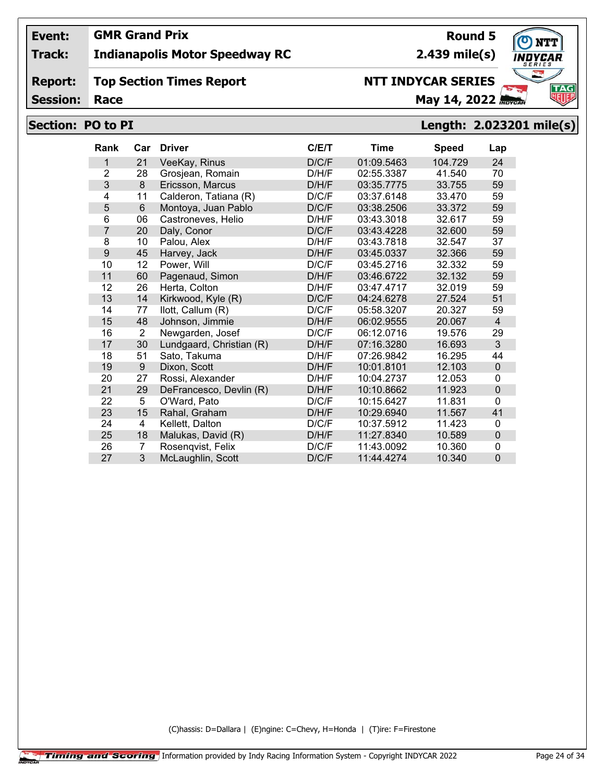## **Track: Indianapolis Motor Speedway RC**

#### **Report: Top Section Times Report**

**Session:**

# **Race May 14, 2022** *Race*

# **Section: PO to PI Length: 2.023201 mile(s)**

| <b>Rank</b>    | Car            | <b>Driver</b>            | C/E/T | Time       | <b>Speed</b> | Lap            |
|----------------|----------------|--------------------------|-------|------------|--------------|----------------|
| 1              | 21             | VeeKay, Rinus            | D/C/F | 01:09.5463 | 104.729      | 24             |
| $\overline{2}$ | 28             | Grosjean, Romain         | D/H/F | 02:55.3387 | 41.540       | 70             |
| 3              | 8              | Ericsson, Marcus         | D/H/F | 03:35.7775 | 33.755       | 59             |
| 4              | 11             | Calderon, Tatiana (R)    | D/C/F | 03:37.6148 | 33.470       | 59             |
| 5              | $6\phantom{1}$ | Montoya, Juan Pablo      | D/C/F | 03:38.2506 | 33.372       | 59             |
| 6              | 06             | Castroneves, Helio       | D/H/F | 03:43.3018 | 32.617       | 59             |
| $\overline{7}$ | 20             | Daly, Conor              | D/C/F | 03:43.4228 | 32.600       | 59             |
| 8              | 10             | Palou, Alex              | D/H/F | 03:43.7818 | 32.547       | 37             |
| 9              | 45             | Harvey, Jack             | D/H/F | 03:45.0337 | 32.366       | 59             |
| 10             | 12             | Power, Will              | D/C/F | 03:45.2716 | 32.332       | 59             |
| 11             | 60             | Pagenaud, Simon          | D/H/F | 03:46.6722 | 32.132       | 59             |
| 12             | 26             | Herta, Colton            | D/H/F | 03:47.4717 | 32.019       | 59             |
| 13             | 14             | Kirkwood, Kyle (R)       | D/C/F | 04:24.6278 | 27.524       | 51             |
| 14             | 77             | llott, Callum (R)        | D/C/F | 05:58.3207 | 20.327       | 59             |
| 15             | 48             | Johnson, Jimmie          | D/H/F | 06:02.9555 | 20.067       | $\overline{4}$ |
| 16             | $\overline{2}$ | Newgarden, Josef         | D/C/F | 06:12.0716 | 19.576       | 29             |
| 17             | 30             | Lundgaard, Christian (R) | D/H/F | 07:16.3280 | 16.693       | 3              |
| 18             | 51             | Sato, Takuma             | D/H/F | 07:26.9842 | 16.295       | 44             |
| 19             | $9\,$          | Dixon, Scott             | D/H/F | 10:01.8101 | 12.103       | $\mathbf 0$    |
| 20             | 27             | Rossi, Alexander         | D/H/F | 10:04.2737 | 12.053       | 0              |
| 21             | 29             | DeFrancesco, Devlin (R)  | D/H/F | 10:10.8662 | 11.923       | $\pmb{0}$      |
| 22             | 5              | O'Ward, Pato             | D/C/F | 10:15.6427 | 11.831       | $\mathbf{0}$   |
| 23             | 15             | Rahal, Graham            | D/H/F | 10:29.6940 | 11.567       | 41             |
| 24             | 4              | Kellett, Dalton          | D/C/F | 10:37.5912 | 11.423       | 0              |
| 25             | 18             | Malukas, David (R)       | D/H/F | 11:27.8340 | 10.589       | $\mathbf 0$    |
| 26             | 7              | Rosenqvist, Felix        | D/C/F | 11:43.0092 | 10.360       | 0              |
| 27             | 3              | McLaughlin, Scott        | D/C/F | 11:44.4274 | 10.340       | $\mathbf 0$    |

(C)hassis: D=Dallara | (E)ngine: C=Chevy, H=Honda | (T)ire: F=Firestone



**Round 5**

**2.439 mile(s)**

**NTT INDYCAR SERIES**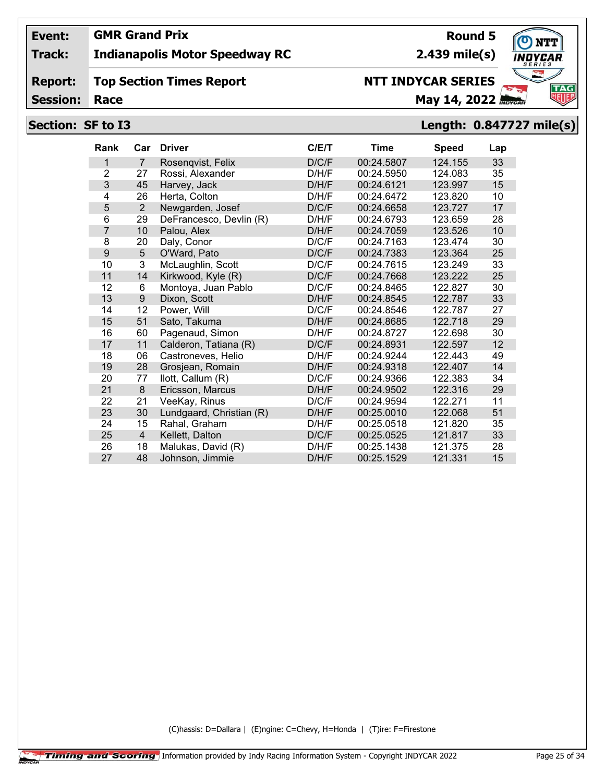## **Track: Indianapolis Motor Speedway RC**

#### **Report: Top Section Times Report**

**Session:**

# **Race May 14, 2022** *Race*

## **Section: SF to I3 Length: 0.847727 mile(s)**

| <b>Rank</b>    | Car            | <b>Driver</b>            | C/E/T | <b>Time</b> | <b>Speed</b> | Lap |
|----------------|----------------|--------------------------|-------|-------------|--------------|-----|
| 1              | $\overline{7}$ | Rosenqvist, Felix        | D/C/F | 00:24.5807  | 124.155      | 33  |
| $\overline{2}$ | 27             | Rossi, Alexander         | D/H/F | 00:24.5950  | 124.083      | 35  |
| 3              | 45             | Harvey, Jack             | D/H/F | 00:24.6121  | 123.997      | 15  |
| 4              | 26             | Herta, Colton            | D/H/F | 00:24.6472  | 123.820      | 10  |
| 5              | $\overline{2}$ | Newgarden, Josef         | D/C/F | 00:24.6658  | 123.727      | 17  |
| 6              | 29             | DeFrancesco, Devlin (R)  | D/H/F | 00:24.6793  | 123.659      | 28  |
| $\overline{7}$ | 10             | Palou, Alex              | D/H/F | 00:24.7059  | 123.526      | 10  |
| 8              | 20             | Daly, Conor              | D/C/F | 00:24.7163  | 123.474      | 30  |
| 9              | 5              | O'Ward, Pato             | D/C/F | 00:24.7383  | 123.364      | 25  |
| 10             | $\overline{3}$ | McLaughlin, Scott        | D/C/F | 00:24.7615  | 123.249      | 33  |
| 11             | 14             | Kirkwood, Kyle (R)       | D/C/F | 00:24.7668  | 123.222      | 25  |
| 12             | 6              | Montoya, Juan Pablo      | D/C/F | 00:24.8465  | 122.827      | 30  |
| 13             | 9              | Dixon, Scott             | D/H/F | 00:24.8545  | 122.787      | 33  |
| 14             | 12             | Power, Will              | D/C/F | 00:24.8546  | 122.787      | 27  |
| 15             | 51             | Sato, Takuma             | D/H/F | 00:24.8685  | 122.718      | 29  |
| 16             | 60             | Pagenaud, Simon          | D/H/F | 00:24.8727  | 122.698      | 30  |
| 17             | 11             | Calderon, Tatiana (R)    | D/C/F | 00:24.8931  | 122.597      | 12  |
| 18             | 06             | Castroneves, Helio       | D/H/F | 00:24.9244  | 122.443      | 49  |
| 19             | 28             | Grosjean, Romain         | D/H/F | 00:24.9318  | 122.407      | 14  |
| 20             | 77             | llott, Callum (R)        | D/C/F | 00:24.9366  | 122.383      | 34  |
| 21             | 8              | Ericsson, Marcus         | D/H/F | 00:24.9502  | 122.316      | 29  |
| 22             | 21             | VeeKay, Rinus            | D/C/F | 00:24.9594  | 122.271      | 11  |
| 23             | 30             | Lundgaard, Christian (R) | D/H/F | 00:25.0010  | 122.068      | 51  |
| 24             | 15             | Rahal, Graham            | D/H/F | 00:25.0518  | 121.820      | 35  |
| 25             | $\overline{4}$ | Kellett, Dalton          | D/C/F | 00:25.0525  | 121.817      | 33  |
| 26             | 18             | Malukas, David (R)       | D/H/F | 00:25.1438  | 121.375      | 28  |
| 27             | 48             | Johnson, Jimmie          | D/H/F | 00:25.1529  | 121.331      | 15  |

(C)hassis: D=Dallara | (E)ngine: C=Chevy, H=Honda | (T)ire: F=Firestone

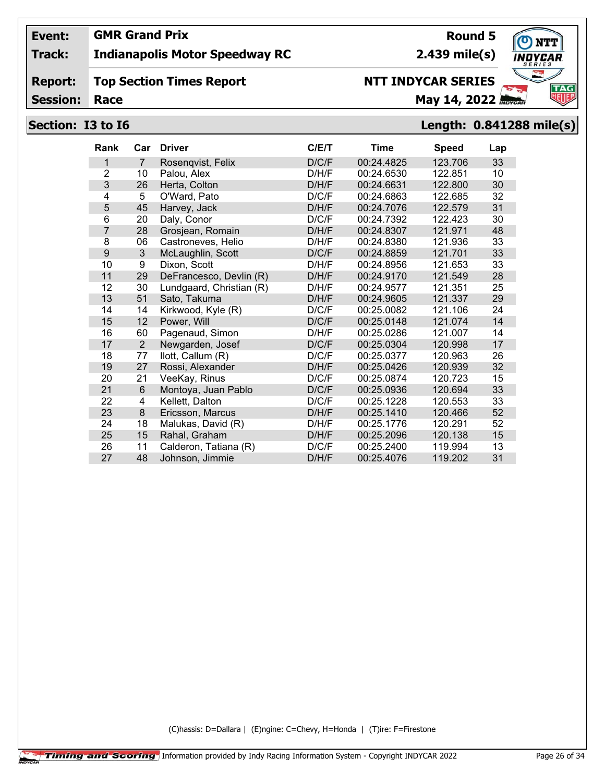## **Track: Indianapolis Motor Speedway RC**

#### **Report: Top Section Times Report**

**Session:**

# **NTT INDYCAR SERIES**

**Race May 14, 2022** *May 14, 2022* 

# **Section: I3 to I6 Length: 0.841288 mile(s)**

| Rank           | Car            | <b>Driver</b>            | C/ET  | Time       | <b>Speed</b> | Lap |
|----------------|----------------|--------------------------|-------|------------|--------------|-----|
| 1              | $\overline{7}$ | Rosenqvist, Felix        | D/C/F | 00:24.4825 | 123.706      | 33  |
| $\overline{2}$ | 10             | Palou, Alex              | D/H/F | 00:24.6530 | 122.851      | 10  |
| 3              | 26             | Herta, Colton            | D/H/F | 00:24.6631 | 122.800      | 30  |
| 4              | 5              | O'Ward, Pato             | D/C/F | 00:24.6863 | 122.685      | 32  |
| 5              | 45             | Harvey, Jack             | D/H/F | 00:24.7076 | 122.579      | 31  |
| 6              | 20             | Daly, Conor              | D/C/F | 00:24.7392 | 122.423      | 30  |
| 7              | 28             | Grosjean, Romain         | D/H/F | 00:24.8307 | 121.971      | 48  |
| 8              | 06             | Castroneves, Helio       | D/H/F | 00:24.8380 | 121.936      | 33  |
| 9              | 3              | McLaughlin, Scott        | D/C/F | 00:24.8859 | 121.701      | 33  |
| 10             | 9              | Dixon, Scott             | D/H/F | 00:24.8956 | 121.653      | 33  |
| 11             | 29             | DeFrancesco, Devlin (R)  | D/H/F | 00:24.9170 | 121.549      | 28  |
| 12             | 30             | Lundgaard, Christian (R) | D/H/F | 00:24.9577 | 121.351      | 25  |
| 13             | 51             | Sato, Takuma             | D/H/F | 00:24.9605 | 121.337      | 29  |
| 14             | 14             | Kirkwood, Kyle (R)       | D/C/F | 00:25.0082 | 121.106      | 24  |
| 15             | 12             | Power, Will              | D/C/F | 00:25.0148 | 121.074      | 14  |
| 16             | 60             | Pagenaud, Simon          | D/H/F | 00:25.0286 | 121.007      | 14  |
| 17             | $\overline{2}$ | Newgarden, Josef         | D/C/F | 00:25.0304 | 120.998      | 17  |
| 18             | 77             | llott, Callum (R)        | D/C/F | 00:25.0377 | 120.963      | 26  |
| 19             | 27             | Rossi, Alexander         | D/H/F | 00:25.0426 | 120.939      | 32  |
| 20             | 21             | VeeKay, Rinus            | D/C/F | 00:25.0874 | 120.723      | 15  |
| 21             | 6              | Montoya, Juan Pablo      | D/C/F | 00:25.0936 | 120.694      | 33  |
| 22             | 4              | Kellett, Dalton          | D/C/F | 00:25.1228 | 120.553      | 33  |
| 23             | 8              | Ericsson, Marcus         | D/H/F | 00:25.1410 | 120.466      | 52  |
| 24             | 18             | Malukas, David (R)       | D/H/F | 00:25.1776 | 120.291      | 52  |
| 25             | 15             | Rahal, Graham            | D/H/F | 00:25.2096 | 120.138      | 15  |
| 26             | 11             | Calderon, Tatiana (R)    | D/C/F | 00:25.2400 | 119.994      | 13  |
| 27             | 48             | Johnson, Jimmie          | D/H/F | 00:25.4076 | 119.202      | 31  |

(C)hassis: D=Dallara | (E)ngine: C=Chevy, H=Honda | (T)ire: F=Firestone

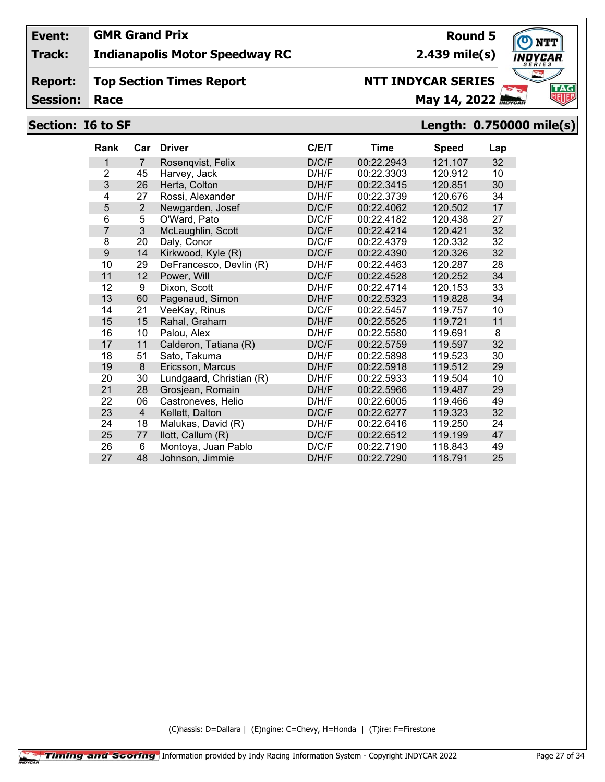## **Track: Indianapolis Motor Speedway RC**

#### **Report: Top Section Times Report**

**Session:**

# **NTT INDYCAR SERIES**

**Race May 14, 2022** *May 14, 2022* 

**2.439 mile(s)**

**Round 5**

## **Section: I6 to SF Length: 0.750000 mile(s)**

| Rank           | Car            | <b>Driver</b>            | C/E/T | Time       | <b>Speed</b> | Lap |
|----------------|----------------|--------------------------|-------|------------|--------------|-----|
| 1              | $\overline{7}$ | Rosenqvist, Felix        | D/C/F | 00:22.2943 | 121.107      | 32  |
| $\overline{2}$ | 45             | Harvey, Jack             | D/H/F | 00:22.3303 | 120.912      | 10  |
| 3              | 26             | Herta, Colton            | D/H/F | 00:22.3415 | 120.851      | 30  |
| 4              | 27             | Rossi, Alexander         | D/H/F | 00:22.3739 | 120.676      | 34  |
| 5              | $\overline{2}$ | Newgarden, Josef         | D/C/F | 00:22.4062 | 120.502      | 17  |
| 6              | 5              | O'Ward, Pato             | D/C/F | 00:22.4182 | 120.438      | 27  |
| $\overline{7}$ | 3              | McLaughlin, Scott        | D/C/F | 00:22.4214 | 120.421      | 32  |
| 8              | 20             | Daly, Conor              | D/C/F | 00:22.4379 | 120.332      | 32  |
| 9              | 14             | Kirkwood, Kyle (R)       | D/C/F | 00:22.4390 | 120.326      | 32  |
| 10             | 29             | DeFrancesco, Devlin (R)  | D/H/F | 00:22.4463 | 120.287      | 28  |
| 11             | 12             | Power, Will              | D/C/F | 00:22.4528 | 120.252      | 34  |
| 12             | 9              | Dixon, Scott             | D/H/F | 00:22.4714 | 120.153      | 33  |
| 13             | 60             | Pagenaud, Simon          | D/H/F | 00:22.5323 | 119.828      | 34  |
| 14             | 21             | VeeKay, Rinus            | D/C/F | 00:22.5457 | 119.757      | 10  |
| 15             | 15             | Rahal, Graham            | D/H/F | 00:22.5525 | 119.721      | 11  |
| 16             | 10             | Palou, Alex              | D/H/F | 00:22.5580 | 119.691      | 8   |
| 17             | 11             | Calderon, Tatiana (R)    | D/C/F | 00:22.5759 | 119.597      | 32  |
| 18             | 51             | Sato, Takuma             | D/H/F | 00:22.5898 | 119.523      | 30  |
| 19             | 8              | Ericsson, Marcus         | D/H/F | 00:22.5918 | 119.512      | 29  |
| 20             | 30             | Lundgaard, Christian (R) | D/H/F | 00:22.5933 | 119.504      | 10  |
| 21             | 28             | Grosjean, Romain         | D/H/F | 00:22.5966 | 119.487      | 29  |
| 22             | 06             | Castroneves, Helio       | D/H/F | 00:22.6005 | 119.466      | 49  |
| 23             | $\overline{4}$ | Kellett, Dalton          | D/C/F | 00:22.6277 | 119.323      | 32  |
| 24             | 18             | Malukas, David (R)       | D/H/F | 00:22.6416 | 119.250      | 24  |
| 25             | 77             | llott, Callum (R)        | D/C/F | 00:22.6512 | 119.199      | 47  |
| 26             | 6              | Montoya, Juan Pablo      | D/C/F | 00:22.7190 | 118.843      | 49  |
| 27             | 48             | Johnson, Jimmie          | D/H/F | 00:22.7290 | 118.791      | 25  |

(C)hassis: D=Dallara | (E)ngine: C=Chevy, H=Honda | (T)ire: F=Firestone

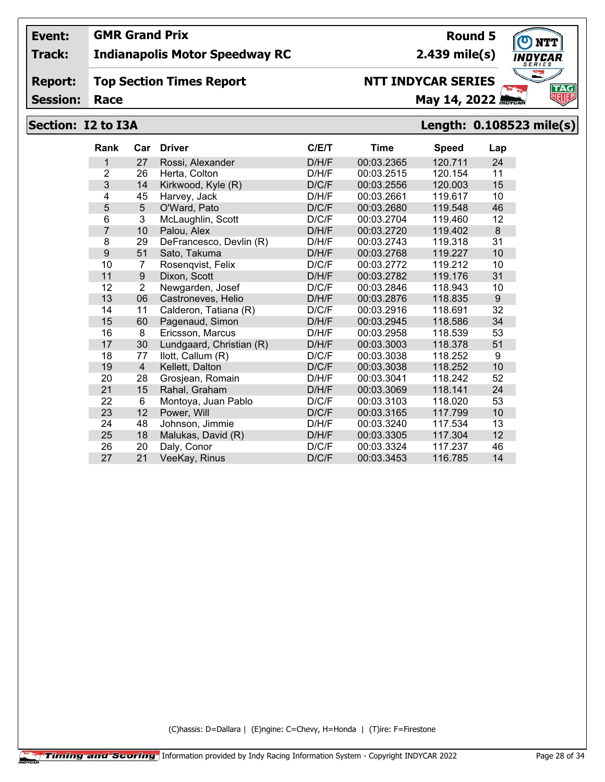## **Track: Indianapolis Motor Speedway RC**

#### **Report: Top Section Times Report**

**Session:**

# **NTT INDYCAR SERIES**

**Race May 14, 2022** *May 14, 2022* 

## **Section: I2 to I3A Length: 0.108523 mile(s)**

| <b>Rank</b> | Car            | <b>Driver</b>            | C/ET  | Time       | <b>Speed</b> | Lap     |
|-------------|----------------|--------------------------|-------|------------|--------------|---------|
| 1           | 27             | Rossi, Alexander         | D/H/F | 00:03.2365 | 120.711      | 24      |
| 2           | 26             | Herta, Colton            | D/H/F | 00:03.2515 | 120.154      | 11      |
| 3           | 14             | Kirkwood, Kyle (R)       | D/C/F | 00:03.2556 | 120.003      | 15      |
| 4           | 45             | Harvey, Jack             | D/H/F | 00:03.2661 | 119.617      | 10      |
| 5           | 5              | O'Ward, Pato             | D/C/F | 00:03.2680 | 119.548      | 46      |
| 6           | 3              | McLaughlin, Scott        | D/C/F | 00:03.2704 | 119.460      | 12      |
| 7           | 10             | Palou, Alex              | D/H/F | 00:03.2720 | 119.402      | $\bf 8$ |
| 8           | 29             | DeFrancesco, Devlin (R)  | D/H/F | 00:03.2743 | 119.318      | 31      |
| 9           | 51             | Sato, Takuma             | D/H/F | 00:03.2768 | 119.227      | 10      |
| 10          | $\overline{7}$ | Rosenqvist, Felix        | D/C/F | 00:03.2772 | 119.212      | 10      |
| 11          | 9              | Dixon, Scott             | D/H/F | 00:03.2782 | 119.176      | 31      |
| 12          | $\overline{2}$ | Newgarden, Josef         | D/C/F | 00:03.2846 | 118.943      | 10      |
| 13          | 06             | Castroneves, Helio       | D/H/F | 00:03.2876 | 118.835      | $9\,$   |
| 14          | 11             | Calderon, Tatiana (R)    | D/C/F | 00:03.2916 | 118.691      | 32      |
| 15          | 60             | Pagenaud, Simon          | D/H/F | 00:03.2945 | 118.586      | 34      |
| 16          | 8              | Ericsson, Marcus         | D/H/F | 00:03.2958 | 118.539      | 53      |
| 17          | 30             | Lundgaard, Christian (R) | D/H/F | 00:03.3003 | 118.378      | 51      |
| 18          | 77             | llott, Callum (R)        | D/C/F | 00:03.3038 | 118.252      | 9       |
| 19          | 4              | Kellett, Dalton          | D/C/F | 00:03.3038 | 118.252      | 10      |
| 20          | 28             | Grosjean, Romain         | D/H/F | 00:03.3041 | 118.242      | 52      |
| 21          | 15             | Rahal, Graham            | D/H/F | 00:03.3069 | 118.141      | 24      |
| 22          | 6              | Montoya, Juan Pablo      | D/C/F | 00:03.3103 | 118.020      | 53      |
| 23          | 12             | Power, Will              | D/C/F | 00:03.3165 | 117.799      | 10      |
| 24          | 48             | Johnson, Jimmie          | D/H/F | 00:03.3240 | 117.534      | 13      |
| 25          | 18             | Malukas, David (R)       | D/H/F | 00:03.3305 | 117.304      | 12      |
| 26          | 20             | Daly, Conor              | D/C/F | 00:03.3324 | 117.237      | 46      |
| 27          | 21             | VeeKay, Rinus            | D/C/F | 00:03.3453 | 116.785      | 14      |

(C)hassis: D=Dallara | (E)ngine: C=Chevy, H=Honda | (T)ire: F=Firestone



**2.439 mile(s)**

**Round 5**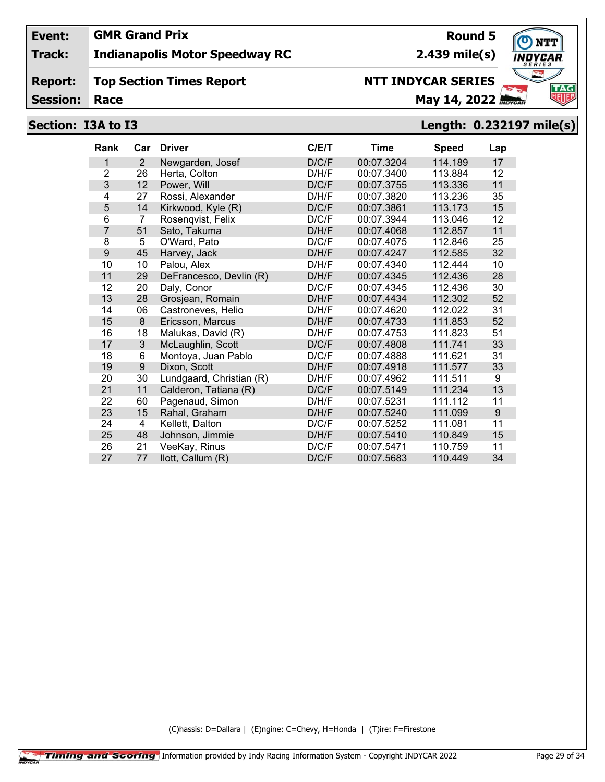## **Track: Indianapolis Motor Speedway RC**

#### **Report: Top Section Times Report**

**Session:**

# **NTT INDYCAR SERIES**

**2.439 mile(s)**

# **Race May 14, 2022** *Race*

**Round 5**

# **Section: I3A to I3 Length: 0.232197 mile(s)**

| Rank           | Car | <b>Driver</b>            | C/E/T | Time       | <b>Speed</b> | Lap |
|----------------|-----|--------------------------|-------|------------|--------------|-----|
| 1              | 2   | Newgarden, Josef         | D/C/F | 00:07.3204 | 114.189      | 17  |
| 2              | 26  | Herta, Colton            | D/H/F | 00:07.3400 | 113.884      | 12  |
| 3              | 12  | Power, Will              | D/C/F | 00:07.3755 | 113.336      | 11  |
| 4              | 27  | Rossi, Alexander         | D/H/F | 00:07.3820 | 113.236      | 35  |
| 5              | 14  | Kirkwood, Kyle (R)       | D/C/F | 00:07.3861 | 113.173      | 15  |
| 6              | 7   | Rosenqvist, Felix        | D/C/F | 00:07.3944 | 113.046      | 12  |
| $\overline{7}$ | 51  | Sato, Takuma             | D/H/F | 00:07.4068 | 112.857      | 11  |
| 8              | 5   | O'Ward, Pato             | D/C/F | 00:07.4075 | 112.846      | 25  |
| 9              | 45  | Harvey, Jack             | D/H/F | 00:07.4247 | 112.585      | 32  |
| 10             | 10  | Palou, Alex              | D/H/F | 00:07.4340 | 112.444      | 10  |
| 11             | 29  | DeFrancesco, Devlin (R)  | D/H/F | 00:07.4345 | 112.436      | 28  |
| 12             | 20  | Daly, Conor              | D/C/F | 00:07.4345 | 112.436      | 30  |
| 13             | 28  | Grosjean, Romain         | D/H/F | 00:07.4434 | 112.302      | 52  |
| 14             | 06  | Castroneves, Helio       | D/H/F | 00:07.4620 | 112.022      | 31  |
| 15             | 8   | Ericsson, Marcus         | D/H/F | 00:07.4733 | 111.853      | 52  |
| 16             | 18  | Malukas, David (R)       | D/H/F | 00:07.4753 | 111.823      | 51  |
| 17             | 3   | McLaughlin, Scott        | D/C/F | 00:07.4808 | 111.741      | 33  |
| 18             | 6   | Montoya, Juan Pablo      | D/C/F | 00:07.4888 | 111.621      | 31  |
| 19             | 9   | Dixon, Scott             | D/H/F | 00:07.4918 | 111.577      | 33  |
| 20             | 30  | Lundgaard, Christian (R) | D/H/F | 00:07.4962 | 111.511      | 9   |
| 21             | 11  | Calderon, Tatiana (R)    | D/C/F | 00:07.5149 | 111.234      | 13  |
| 22             | 60  | Pagenaud, Simon          | D/H/F | 00:07.5231 | 111.112      | 11  |
| 23             | 15  | Rahal, Graham            | D/H/F | 00:07.5240 | 111.099      | 9   |
| 24             | 4   | Kellett, Dalton          | D/C/F | 00:07.5252 | 111.081      | 11  |
| 25             | 48  | Johnson, Jimmie          | D/H/F | 00:07.5410 | 110.849      | 15  |
| 26             | 21  | VeeKay, Rinus            | D/C/F | 00:07.5471 | 110.759      | 11  |
| 27             | 77  | llott, Callum (R)        | D/C/F | 00:07.5683 | 110.449      | 34  |

(C)hassis: D=Dallara | (E)ngine: C=Chevy, H=Honda | (T)ire: F=Firestone

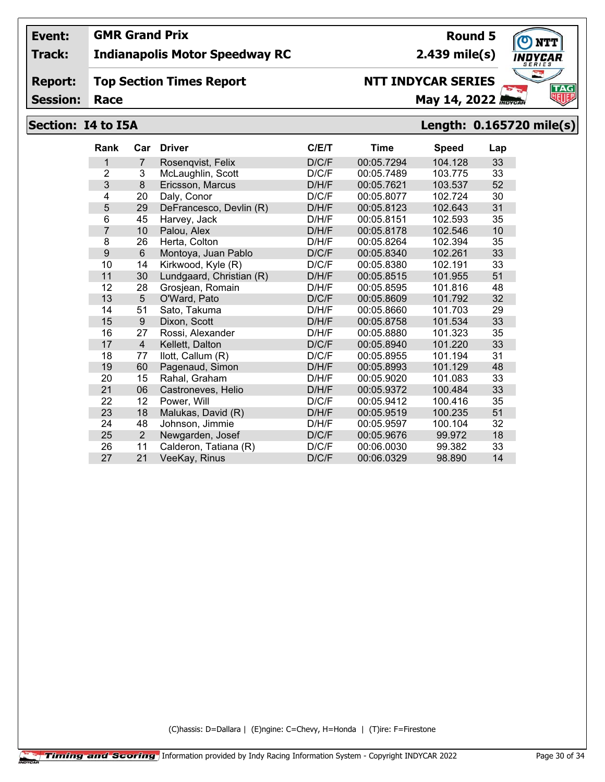## **Track: Indianapolis Motor Speedway RC**

#### **Report: Top Section Times Report**

**Session:**

# **NTT INDYCAR SERIES**

**Race May 14, 2022** *May 14, 2022* 

## **Section: I4 to I5A Length: 0.165720 mile(s)**

| <b>Rank</b>    | Car            | <b>Driver</b>            | C/E/T | <b>Time</b> | <b>Speed</b> | Lap |
|----------------|----------------|--------------------------|-------|-------------|--------------|-----|
| 1              | 7              | Rosengvist, Felix        | D/C/F | 00:05.7294  | 104.128      | 33  |
| $\overline{2}$ | 3              | McLaughlin, Scott        | D/C/F | 00:05.7489  | 103.775      | 33  |
| 3              | 8              | Ericsson, Marcus         | D/H/F | 00:05.7621  | 103.537      | 52  |
| 4              | 20             | Daly, Conor              | D/C/F | 00:05.8077  | 102.724      | 30  |
| 5              | 29             | DeFrancesco, Devlin (R)  | D/H/F | 00:05.8123  | 102.643      | 31  |
| 6              | 45             | Harvey, Jack             | D/H/F | 00:05.8151  | 102.593      | 35  |
| $\overline{7}$ | 10             | Palou, Alex              | D/H/F | 00:05.8178  | 102.546      | 10  |
| 8              | 26             | Herta, Colton            | D/H/F | 00:05.8264  | 102.394      | 35  |
| 9              | 6              | Montoya, Juan Pablo      | D/C/F | 00:05.8340  | 102.261      | 33  |
| 10             | 14             | Kirkwood, Kyle (R)       | D/C/F | 00:05.8380  | 102.191      | 33  |
| 11             | 30             | Lundgaard, Christian (R) | D/H/F | 00:05.8515  | 101.955      | 51  |
| 12             | 28             | Grosjean, Romain         | D/H/F | 00:05.8595  | 101.816      | 48  |
| 13             | 5              | O'Ward, Pato             | D/C/F | 00:05.8609  | 101.792      | 32  |
| 14             | 51             | Sato, Takuma             | D/H/F | 00:05.8660  | 101.703      | 29  |
| 15             | 9              | Dixon, Scott             | D/H/F | 00:05.8758  | 101.534      | 33  |
| 16             | 27             | Rossi, Alexander         | D/H/F | 00:05.8880  | 101.323      | 35  |
| 17             | 4              | Kellett, Dalton          | D/C/F | 00:05.8940  | 101.220      | 33  |
| 18             | 77             | llott, Callum (R)        | D/C/F | 00:05.8955  | 101.194      | 31  |
| 19             | 60             | Pagenaud, Simon          | D/H/F | 00:05.8993  | 101.129      | 48  |
| 20             | 15             | Rahal, Graham            | D/H/F | 00:05.9020  | 101.083      | 33  |
| 21             | 06             | Castroneves, Helio       | D/H/F | 00:05.9372  | 100.484      | 33  |
| 22             | 12             | Power, Will              | D/C/F | 00:05.9412  | 100.416      | 35  |
| 23             | 18             | Malukas, David (R)       | D/H/F | 00:05.9519  | 100.235      | 51  |
| 24             | 48             | Johnson, Jimmie          | D/H/F | 00:05.9597  | 100.104      | 32  |
| 25             | $\overline{2}$ | Newgarden, Josef         | D/C/F | 00:05.9676  | 99.972       | 18  |
| 26             | 11             | Calderon, Tatiana (R)    | D/C/F | 00:06.0030  | 99.382       | 33  |
| 27             | 21             | VeeKay, Rinus            | D/C/F | 00:06.0329  | 98.890       | 14  |

(C)hassis: D=Dallara | (E)ngine: C=Chevy, H=Honda | (T)ire: F=Firestone



**Round 5**

**2.439 mile(s)**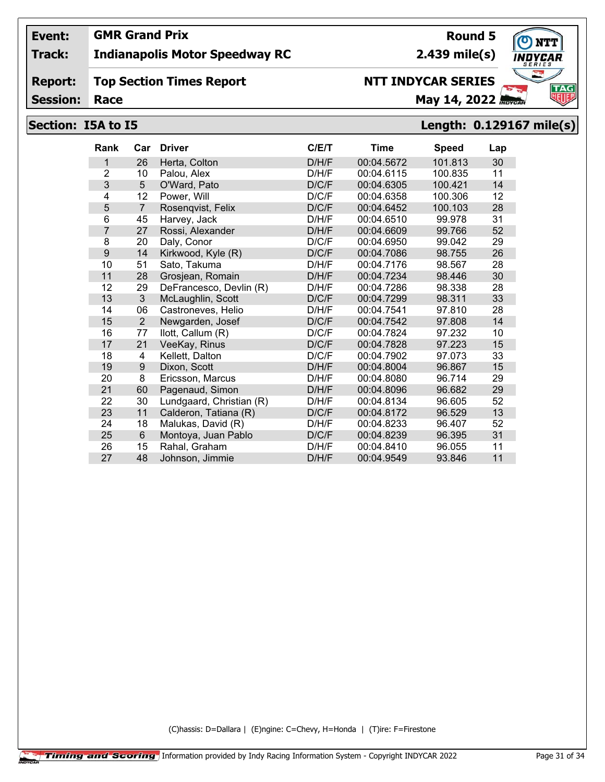## **Track: Indianapolis Motor Speedway RC**

#### **Report: Top Section Times Report**

**Session:**

# **NTT INDYCAR SERIES**

**Race May 14, 2022** *Race* 

**2.439 mile(s)**

**Round 5**

## **Section: I5A to I5 Length: 0.129167 mile(s)**

| <b>Rank</b>    | Car             | <b>Driver</b>            | C/E/T | <b>Time</b> | <b>Speed</b> | Lap |
|----------------|-----------------|--------------------------|-------|-------------|--------------|-----|
| 1              | 26              | Herta, Colton            | D/H/F | 00:04.5672  | 101.813      | 30  |
| $\overline{2}$ | 10              | Palou, Alex              | D/H/F | 00:04.6115  | 100.835      | 11  |
| 3              | $5\phantom{.0}$ | O'Ward, Pato             | D/C/F | 00:04.6305  | 100.421      | 14  |
| 4              | 12              | Power, Will              | D/C/F | 00:04.6358  | 100.306      | 12  |
| 5              | $\overline{7}$  | Rosengvist, Felix        | D/C/F | 00:04.6452  | 100.103      | 28  |
| 6              | 45              | Harvey, Jack             | D/H/F | 00:04.6510  | 99.978       | 31  |
| 7              | 27              | Rossi, Alexander         | D/H/F | 00:04.6609  | 99.766       | 52  |
| 8              | 20              | Daly, Conor              | D/C/F | 00:04.6950  | 99.042       | 29  |
| 9              | 14              | Kirkwood, Kyle (R)       | D/C/F | 00:04.7086  | 98.755       | 26  |
| 10             | 51              | Sato, Takuma             | D/H/F | 00:04.7176  | 98.567       | 28  |
| 11             | 28              | Grosjean, Romain         | D/H/F | 00:04.7234  | 98.446       | 30  |
| 12             | 29              | DeFrancesco, Devlin (R)  | D/H/F | 00:04.7286  | 98.338       | 28  |
| 13             | 3               | McLaughlin, Scott        | D/C/F | 00:04.7299  | 98.311       | 33  |
| 14             | 06              | Castroneves, Helio       | D/H/F | 00:04.7541  | 97.810       | 28  |
| 15             | $\overline{2}$  | Newgarden, Josef         | D/C/F | 00:04.7542  | 97.808       | 14  |
| 16             | 77              | llott, Callum (R)        | D/C/F | 00:04.7824  | 97.232       | 10  |
| 17             | 21              | VeeKay, Rinus            | D/C/F | 00:04.7828  | 97.223       | 15  |
| 18             | 4               | Kellett, Dalton          | D/C/F | 00:04.7902  | 97.073       | 33  |
| 19             | 9               | Dixon, Scott             | D/H/F | 00:04.8004  | 96.867       | 15  |
| 20             | 8               | Ericsson, Marcus         | D/H/F | 00:04.8080  | 96.714       | 29  |
| 21             | 60              | Pagenaud, Simon          | D/H/F | 00:04.8096  | 96.682       | 29  |
| 22             | 30              | Lundgaard, Christian (R) | D/H/F | 00:04.8134  | 96.605       | 52  |
| 23             | 11              | Calderon, Tatiana (R)    | D/C/F | 00:04.8172  | 96.529       | 13  |
| 24             | 18              | Malukas, David (R)       | D/H/F | 00:04.8233  | 96.407       | 52  |
| 25             | 6               | Montoya, Juan Pablo      | D/C/F | 00:04.8239  | 96.395       | 31  |
| 26             | 15              | Rahal, Graham            | D/H/F | 00:04.8410  | 96.055       | 11  |
| 27             | 48              | Johnson, Jimmie          | D/H/F | 00:04.9549  | 93.846       | 11  |

(C)hassis: D=Dallara | (E)ngine: C=Chevy, H=Honda | (T)ire: F=Firestone

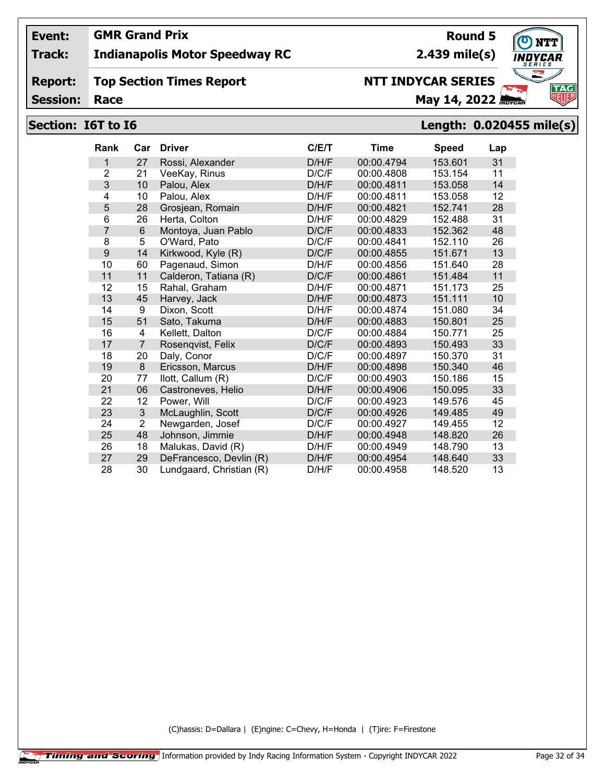## **Track: Indianapolis Motor Speedway RC**

#### **Report: Top Section Times Report**

**Session:**

# **NTT INDYCAR SERIES**

**Race May 14, 2022** *May 14, 2022* 

## **Section: I6T to I6 Length: 0.020455 mile(s)**

| <b>Rank</b>     | Car            | <b>Driver</b>            | C/E/T | <b>Time</b> | <b>Speed</b> | Lap |
|-----------------|----------------|--------------------------|-------|-------------|--------------|-----|
| 1               | 27             | Rossi, Alexander         | D/H/F | 00:00.4794  | 153.601      | 31  |
| $\overline{2}$  | 21             | VeeKay, Rinus            | D/C/F | 00:00.4808  | 153.154      | 11  |
| 3               | 10             | Palou, Alex              | D/H/F | 00:00.4811  | 153.058      | 14  |
| 4               | 10             | Palou, Alex              | D/H/F | 00:00.4811  | 153.058      | 12  |
| 5               | 28             | Grosjean, Romain         | D/H/F | 00:00.4821  | 152.741      | 28  |
| $6\phantom{1}6$ | 26             | Herta, Colton            | D/H/F | 00:00.4829  | 152.488      | 31  |
| $\overline{7}$  | 6              | Montoya, Juan Pablo      | D/C/F | 00:00.4833  | 152.362      | 48  |
| 8               | 5              | O'Ward, Pato             | D/C/F | 00:00.4841  | 152.110      | 26  |
| 9               | 14             | Kirkwood, Kyle (R)       | D/C/F | 00:00.4855  | 151.671      | 13  |
| 10              | 60             | Pagenaud, Simon          | D/H/F | 00:00.4856  | 151.640      | 28  |
| 11              | 11             | Calderon, Tatiana (R)    | D/C/F | 00:00.4861  | 151.484      | 11  |
| 12              | 15             | Rahal, Graham            | D/H/F | 00:00.4871  | 151.173      | 25  |
| 13              | 45             | Harvey, Jack             | D/H/F | 00:00.4873  | 151.111      | 10  |
| 14              | 9              | Dixon, Scott             | D/H/F | 00:00.4874  | 151.080      | 34  |
| 15              | 51             | Sato, Takuma             | D/H/F | 00:00.4883  | 150.801      | 25  |
| 16              | 4              | Kellett, Dalton          | D/C/F | 00:00.4884  | 150.771      | 25  |
| 17              | 7              | Rosenqvist, Felix        | D/C/F | 00:00.4893  | 150.493      | 33  |
| 18              | 20             | Daly, Conor              | D/C/F | 00:00.4897  | 150.370      | 31  |
| 19              | 8              | Ericsson, Marcus         | D/H/F | 00:00.4898  | 150.340      | 46  |
| 20              | 77             | llott, Callum (R)        | D/C/F | 00:00.4903  | 150.186      | 15  |
| 21              | 06             | Castroneves, Helio       | D/H/F | 00:00.4906  | 150.095      | 33  |
| 22              | 12             | Power, Will              | D/C/F | 00:00.4923  | 149.576      | 45  |
| 23              | 3              | McLaughlin, Scott        | D/C/F | 00:00.4926  | 149.485      | 49  |
| 24              | $\overline{2}$ | Newgarden, Josef         | D/C/F | 00:00.4927  | 149.455      | 12  |
| 25              | 48             | Johnson, Jimmie          | D/H/F | 00:00.4948  | 148.820      | 26  |
| 26              | 18             | Malukas, David (R)       | D/H/F | 00:00.4949  | 148.790      | 13  |
| 27              | 29             | DeFrancesco, Devlin (R)  | D/H/F | 00:00.4954  | 148.640      | 33  |
| 28              | 30             | Lundgaard, Christian (R) | D/H/F | 00:00.4958  | 148.520      | 13  |

(C)hassis: D=Dallara | (E)ngine: C=Chevy, H=Honda | (T)ire: F=Firestone



**Round 5**

**2.439 mile(s)**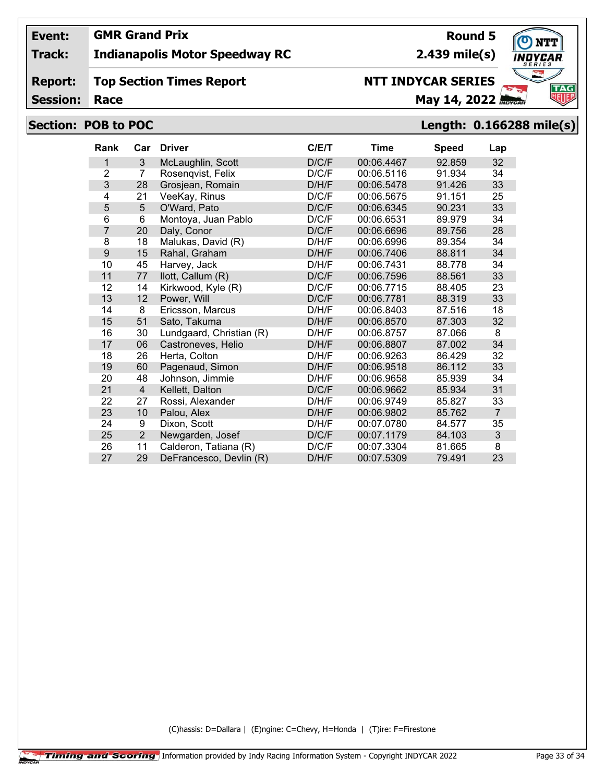## **Track: Indianapolis Motor Speedway RC**

#### **Report: Top Section Times Report**

**Session:**

# **NTT INDYCAR SERIES**

**Race May 14, 2022** *May 14, 2022* 

# **Section: POB to POC Length: 0.166288 mile(s)**

| <b>Rank</b>    | Car            | <b>Driver</b>            | C/ET  | Time       | <b>Speed</b> | Lap            |
|----------------|----------------|--------------------------|-------|------------|--------------|----------------|
| 1              | 3              | McLaughlin, Scott        | D/C/F | 00:06.4467 | 92.859       | 32             |
| $\overline{2}$ | 7              | Rosenqvist, Felix        | D/C/F | 00:06.5116 | 91.934       | 34             |
| 3              | 28             | Grosjean, Romain         | D/H/F | 00:06.5478 | 91.426       | 33             |
| 4              | 21             | VeeKay, Rinus            | D/C/F | 00:06.5675 | 91.151       | 25             |
| 5              | 5              | O'Ward, Pato             | D/C/F | 00:06.6345 | 90.231       | 33             |
| 6              | 6              | Montoya, Juan Pablo      | D/C/F | 00:06.6531 | 89.979       | 34             |
| 7              | 20             | Daly, Conor              | D/C/F | 00:06.6696 | 89.756       | 28             |
| 8              | 18             | Malukas, David (R)       | D/H/F | 00:06.6996 | 89.354       | 34             |
| 9              | 15             | Rahal, Graham            | D/H/F | 00:06.7406 | 88.811       | 34             |
| 10             | 45             | Harvey, Jack             | D/H/F | 00:06.7431 | 88.778       | 34             |
| 11             | 77             | llott, Callum (R)        | D/C/F | 00:06.7596 | 88.561       | 33             |
| 12             | 14             | Kirkwood, Kyle (R)       | D/C/F | 00:06.7715 | 88.405       | 23             |
| 13             | 12             | Power, Will              | D/C/F | 00:06.7781 | 88.319       | 33             |
| 14             | 8              | Ericsson, Marcus         | D/H/F | 00:06.8403 | 87.516       | 18             |
| 15             | 51             | Sato, Takuma             | D/H/F | 00:06.8570 | 87.303       | 32             |
| 16             | 30             | Lundgaard, Christian (R) | D/H/F | 00:06.8757 | 87.066       | 8              |
| 17             | 06             | Castroneves, Helio       | D/H/F | 00:06.8807 | 87.002       | 34             |
| 18             | 26             | Herta, Colton            | D/H/F | 00:06.9263 | 86.429       | 32             |
| 19             | 60             | Pagenaud, Simon          | D/H/F | 00:06.9518 | 86.112       | 33             |
| 20             | 48             | Johnson, Jimmie          | D/H/F | 00:06.9658 | 85.939       | 34             |
| 21             | 4              | Kellett, Dalton          | D/C/F | 00:06.9662 | 85.934       | 31             |
| 22             | 27             | Rossi, Alexander         | D/H/F | 00:06.9749 | 85.827       | 33             |
| 23             | 10             | Palou, Alex              | D/H/F | 00:06.9802 | 85.762       | $\overline{7}$ |
| 24             | 9              | Dixon, Scott             | D/H/F | 00:07.0780 | 84.577       | 35             |
| 25             | $\overline{2}$ | Newgarden, Josef         | D/C/F | 00:07.1179 | 84.103       | 3              |
| 26             | 11             | Calderon, Tatiana (R)    | D/C/F | 00:07.3304 | 81.665       | 8              |
| 27             | 29             | DeFrancesco, Devlin (R)  | D/H/F | 00:07.5309 | 79.491       | 23             |

(C)hassis: D=Dallara | (E)ngine: C=Chevy, H=Honda | (T)ire: F=Firestone